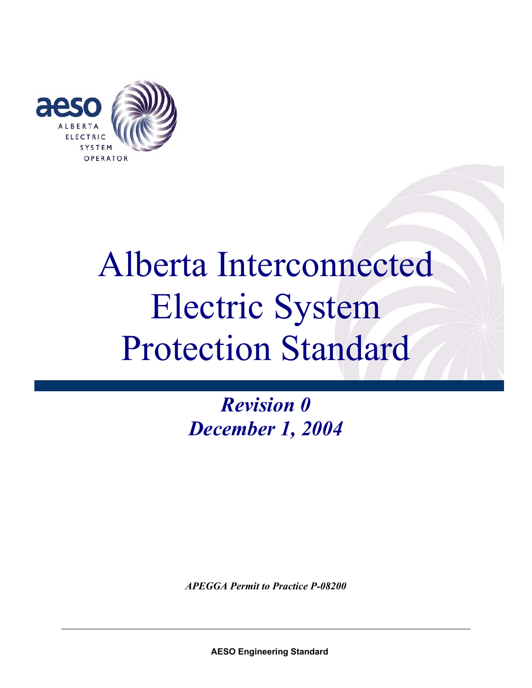

*Revision 0 December 1, 2004* 

*APEGGA Permit to Practice P-08200*

 **AESO Engineering Standard**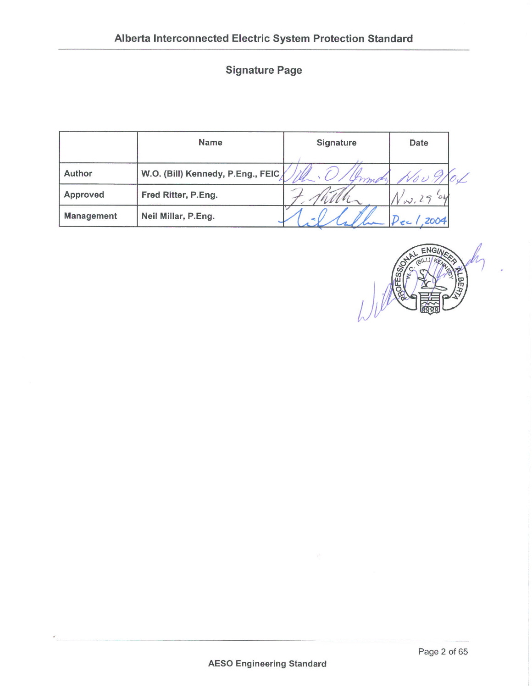# **Signature Page**

|            | <b>Name</b>                       | <b>Signature</b> | Date |  |
|------------|-----------------------------------|------------------|------|--|
|            |                                   |                  |      |  |
| Author     | W.O. (Bill) Kennedy, P.Eng., FEIC | mp               |      |  |
| Approved   | Fred Ritter, P.Eng.               | $\mathbf{v}$     |      |  |
| Management | Neil Millar, P.Eng.               |                  | 2004 |  |

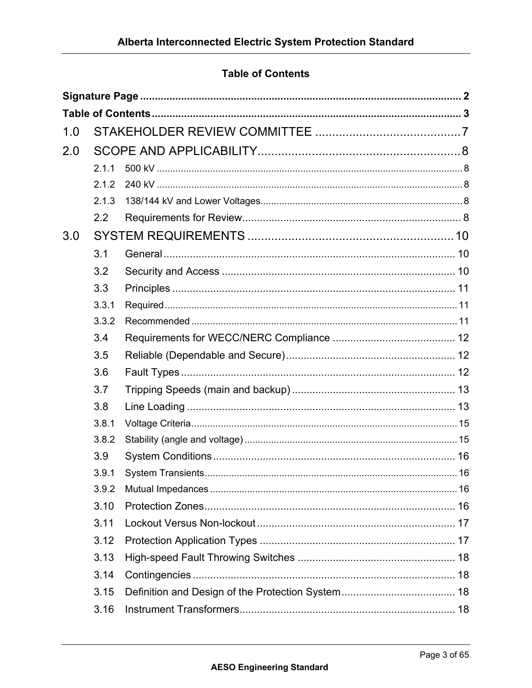# **Table of Contents**

| 1.0 |       |  |  |  |  |
|-----|-------|--|--|--|--|
| 2.0 |       |  |  |  |  |
|     | 2.1.1 |  |  |  |  |
|     | 2.1.2 |  |  |  |  |
|     | 2.1.3 |  |  |  |  |
|     | 2.2   |  |  |  |  |
| 3.0 |       |  |  |  |  |
|     | 3.1   |  |  |  |  |
|     | 3.2   |  |  |  |  |
|     | 3.3   |  |  |  |  |
|     | 3.3.1 |  |  |  |  |
|     | 3.3.2 |  |  |  |  |
|     | 3.4   |  |  |  |  |
|     | 3.5   |  |  |  |  |
|     | 3.6   |  |  |  |  |
|     | 3.7   |  |  |  |  |
|     | 3.8   |  |  |  |  |
|     | 3.8.1 |  |  |  |  |
|     | 3.8.2 |  |  |  |  |
|     | 3.9   |  |  |  |  |
|     | 3.9.1 |  |  |  |  |
|     | 3.9.2 |  |  |  |  |
|     | 3.10  |  |  |  |  |
|     | 3.11  |  |  |  |  |
|     | 3.12  |  |  |  |  |
|     | 3.13  |  |  |  |  |
|     | 3.14  |  |  |  |  |
|     | 3.15  |  |  |  |  |
|     | 3.16  |  |  |  |  |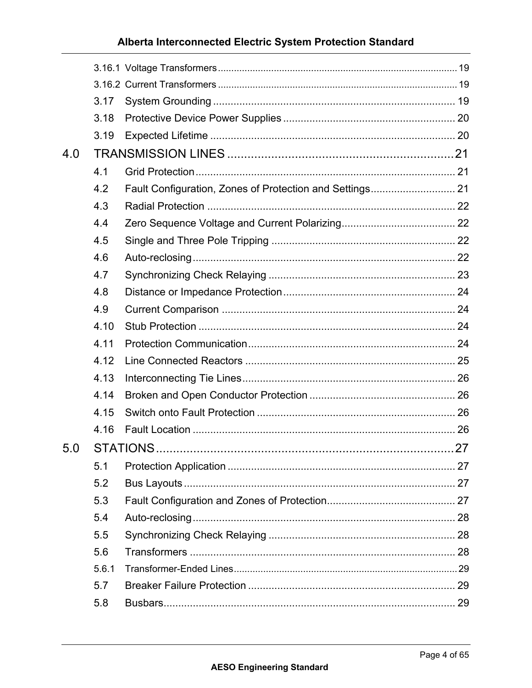|     | 3.17  |  |
|-----|-------|--|
|     | 3.18  |  |
|     | 3.19  |  |
| 4.0 |       |  |
|     | 4.1   |  |
|     | 4.2   |  |
|     | 4.3   |  |
|     | 4.4   |  |
|     | 4.5   |  |
|     | 4.6   |  |
|     | 4.7   |  |
|     | 4.8   |  |
|     | 4.9   |  |
|     | 4.10  |  |
|     | 4.11  |  |
|     | 4.12  |  |
|     | 4.13  |  |
|     | 4.14  |  |
|     | 4.15  |  |
|     | 4.16  |  |
| 5.0 |       |  |
|     | 5.1   |  |
|     | 5.2   |  |
|     | 5.3   |  |
|     | 5.4   |  |
|     | 5.5   |  |
|     | 5.6   |  |
|     | 5.6.1 |  |
|     | 5.7   |  |
|     | 5.8   |  |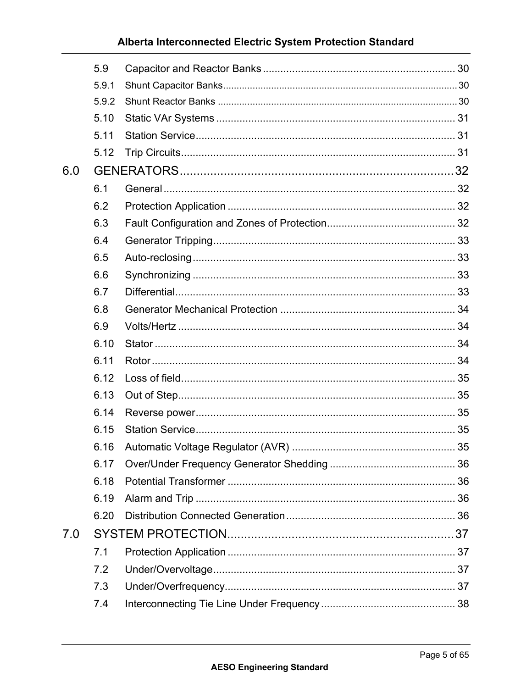|     | 5.9   |  |
|-----|-------|--|
|     | 5.9.1 |  |
|     | 5.9.2 |  |
|     | 5.10  |  |
|     | 5.11  |  |
|     | 5.12  |  |
| 6.0 |       |  |
|     | 6.1   |  |
|     | 6.2   |  |
|     | 6.3   |  |
|     | 6.4   |  |
|     | 6.5   |  |
|     | 6.6   |  |
|     | 6.7   |  |
|     | 6.8   |  |
|     | 6.9   |  |
|     | 6.10  |  |
|     | 6.11  |  |
|     | 6.12  |  |
|     | 6.13  |  |
|     | 6.14  |  |
|     | 6.15  |  |
|     | 6.16  |  |
|     | 6.17  |  |
|     | 6.18  |  |
|     | 6.19  |  |
|     | 6.20  |  |
| 7.0 |       |  |
|     | 7.1   |  |
|     | 7.2   |  |
|     | 7.3   |  |
|     | 7.4   |  |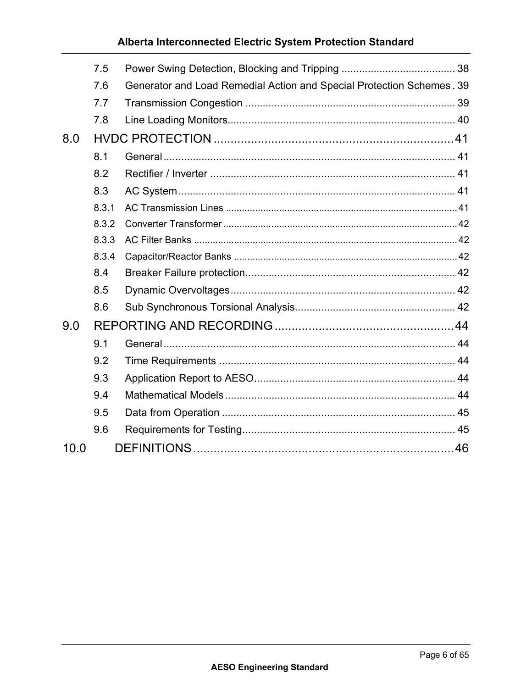|      | 7.5   |                                                                       |  |
|------|-------|-----------------------------------------------------------------------|--|
|      | 7.6   | Generator and Load Remedial Action and Special Protection Schemes. 39 |  |
|      | 7.7   |                                                                       |  |
|      | 7.8   |                                                                       |  |
| 8.0  |       |                                                                       |  |
|      | 8.1   |                                                                       |  |
|      | 8.2   |                                                                       |  |
|      | 8.3   |                                                                       |  |
|      | 8.3.1 |                                                                       |  |
|      | 8.3.2 |                                                                       |  |
|      | 8.3.3 |                                                                       |  |
|      | 8.3.4 |                                                                       |  |
|      | 8.4   |                                                                       |  |
|      | 8.5   |                                                                       |  |
|      | 8.6   |                                                                       |  |
| 9.0  |       |                                                                       |  |
|      | 9.1   |                                                                       |  |
|      | 9.2   |                                                                       |  |
|      | 9.3   |                                                                       |  |
|      | 9.4   |                                                                       |  |
|      | 9.5   |                                                                       |  |
|      | 9.6   |                                                                       |  |
| 10.0 |       |                                                                       |  |
|      |       |                                                                       |  |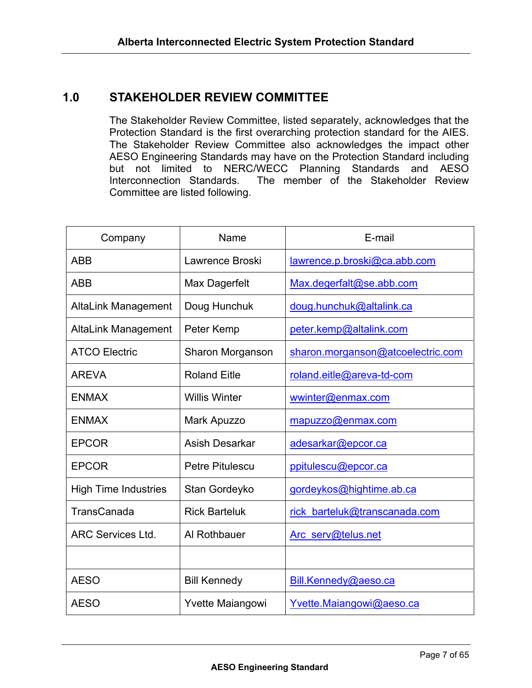# **1.0 STAKEHOLDER REVIEW COMMITTEE**

The Stakeholder Review Committee, listed separately, acknowledges that the Protection Standard is the first overarching protection standard for the AIES. The Stakeholder Review Committee also acknowledges the impact other AESO Engineering Standards may have on the Protection Standard including but not limited to NERC/WECC Planning Standards and AESO Interconnection Standards. The member of the Stakeholder Review Committee are listed following.

| Company                     | Name                    | E-mail                            |  |  |
|-----------------------------|-------------------------|-----------------------------------|--|--|
| <b>ABB</b>                  | Lawrence Broski         | lawrence.p.broski@ca.abb.com      |  |  |
| <b>ABB</b>                  | Max Dagerfelt           | Max.degerfalt@se.abb.com          |  |  |
| <b>AltaLink Management</b>  | Doug Hunchuk            | doug.hunchuk@altalink.ca          |  |  |
| <b>AltaLink Management</b>  | Peter Kemp              | peter.kemp@altalink.com           |  |  |
| <b>ATCO Electric</b>        | Sharon Morganson        | sharon.morganson@atcoelectric.com |  |  |
| <b>AREVA</b>                | <b>Roland Eitle</b>     | roland.eitle@areva-td-com         |  |  |
| <b>ENMAX</b>                | <b>Willis Winter</b>    | wwinter@enmax.com                 |  |  |
| <b>ENMAX</b>                | Mark Apuzzo             | mapuzzo@enmax.com                 |  |  |
| <b>EPCOR</b>                | Asish Desarkar          | adesarkar@epcor.ca                |  |  |
| <b>EPCOR</b>                | <b>Petre Pitulescu</b>  | ppitulescu@epcor.ca               |  |  |
| <b>High Time Industries</b> | Stan Gordeyko           | gordeykos@hightime.ab.ca          |  |  |
| TransCanada                 | <b>Rick Barteluk</b>    | rick barteluk@transcanada.com     |  |  |
| <b>ARC Services Ltd.</b>    | Al Rothbauer            | Arc serv@telus.net                |  |  |
|                             |                         |                                   |  |  |
| <b>AESO</b>                 | <b>Bill Kennedy</b>     | Bill.Kennedy@aeso.ca              |  |  |
| <b>AESO</b>                 | <b>Yvette Maiangowi</b> | Yvette.Maiangowi@aeso.ca          |  |  |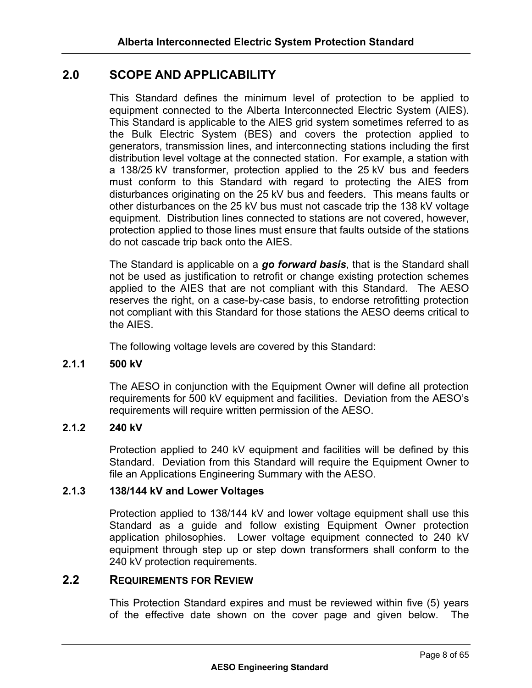# **2.0 SCOPE AND APPLICABILITY**

This Standard defines the minimum level of protection to be applied to equipment connected to the Alberta Interconnected Electric System (AIES). This Standard is applicable to the AIES grid system sometimes referred to as the Bulk Electric System (BES) and covers the protection applied to generators, transmission lines, and interconnecting stations including the first distribution level voltage at the connected station. For example, a station with a 138/25 kV transformer, protection applied to the 25 kV bus and feeders must conform to this Standard with regard to protecting the AIES from disturbances originating on the 25 kV bus and feeders. This means faults or other disturbances on the 25 kV bus must not cascade trip the 138 kV voltage equipment. Distribution lines connected to stations are not covered, however, protection applied to those lines must ensure that faults outside of the stations do not cascade trip back onto the AIES.

The Standard is applicable on a *go forward basis*, that is the Standard shall not be used as justification to retrofit or change existing protection schemes applied to the AIES that are not compliant with this Standard. The AESO reserves the right, on a case-by-case basis, to endorse retrofitting protection not compliant with this Standard for those stations the AESO deems critical to the AIES.

The following voltage levels are covered by this Standard:

#### **2.1.1 500 kV**

The AESO in conjunction with the Equipment Owner will define all protection requirements for 500 kV equipment and facilities. Deviation from the AESO's requirements will require written permission of the AESO.

#### **2.1.2 240 kV**

Protection applied to 240 kV equipment and facilities will be defined by this Standard. Deviation from this Standard will require the Equipment Owner to file an Applications Engineering Summary with the AESO.

#### **2.1.3 138/144 kV and Lower Voltages**

Protection applied to 138/144 kV and lower voltage equipment shall use this Standard as a guide and follow existing Equipment Owner protection application philosophies. Lower voltage equipment connected to 240 kV equipment through step up or step down transformers shall conform to the 240 kV protection requirements.

# **2.2 REQUIREMENTS FOR REVIEW**

This Protection Standard expires and must be reviewed within five (5) years of the effective date shown on the cover page and given below. The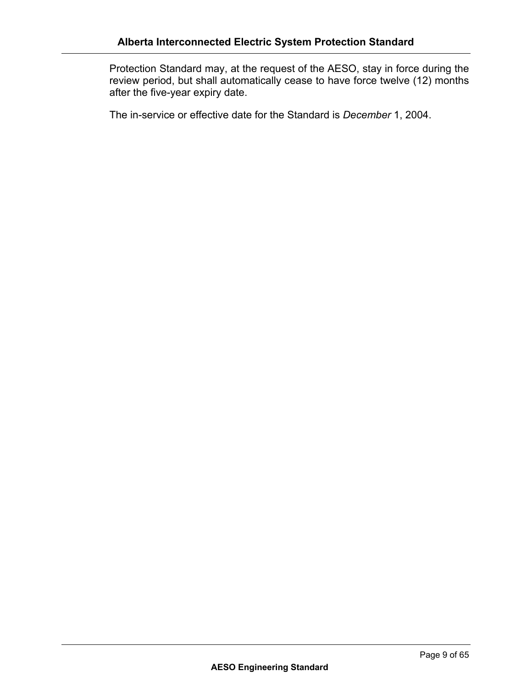Protection Standard may, at the request of the AESO, stay in force during the review period, but shall automatically cease to have force twelve (12) months after the five-year expiry date.

The in-service or effective date for the Standard is *December* 1, 2004.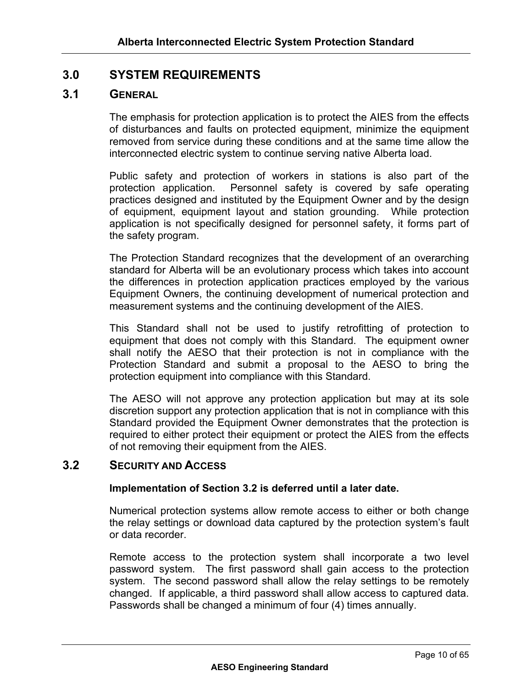# **3.0 SYSTEM REQUIREMENTS**

## **3.1 GENERAL**

The emphasis for protection application is to protect the AIES from the effects of disturbances and faults on protected equipment, minimize the equipment removed from service during these conditions and at the same time allow the interconnected electric system to continue serving native Alberta load.

Public safety and protection of workers in stations is also part of the protection application. Personnel safety is covered by safe operating practices designed and instituted by the Equipment Owner and by the design of equipment, equipment layout and station grounding. While protection application is not specifically designed for personnel safety, it forms part of the safety program.

The Protection Standard recognizes that the development of an overarching standard for Alberta will be an evolutionary process which takes into account the differences in protection application practices employed by the various Equipment Owners, the continuing development of numerical protection and measurement systems and the continuing development of the AIES.

This Standard shall not be used to justify retrofitting of protection to equipment that does not comply with this Standard. The equipment owner shall notify the AESO that their protection is not in compliance with the Protection Standard and submit a proposal to the AESO to bring the protection equipment into compliance with this Standard.

The AESO will not approve any protection application but may at its sole discretion support any protection application that is not in compliance with this Standard provided the Equipment Owner demonstrates that the protection is required to either protect their equipment or protect the AIES from the effects of not removing their equipment from the AIES.

# **3.2 SECURITY AND ACCESS**

#### **Implementation of Section 3.2 is deferred until a later date.**

Numerical protection systems allow remote access to either or both change the relay settings or download data captured by the protection system's fault or data recorder.

Remote access to the protection system shall incorporate a two level password system. The first password shall gain access to the protection system. The second password shall allow the relay settings to be remotely changed. If applicable, a third password shall allow access to captured data. Passwords shall be changed a minimum of four (4) times annually.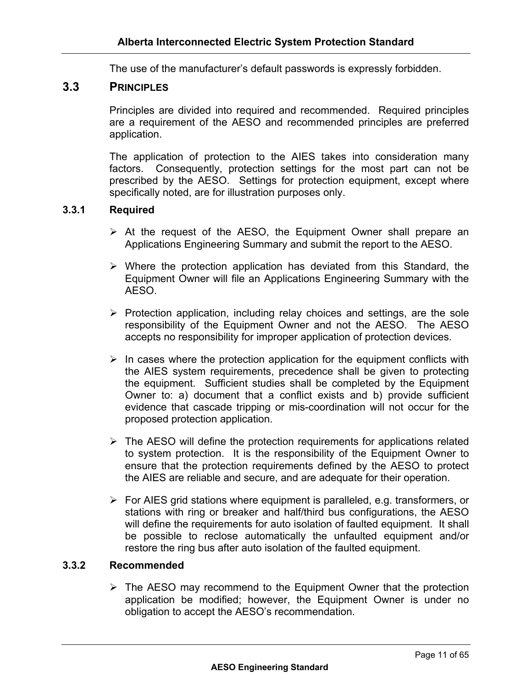The use of the manufacturer's default passwords is expressly forbidden.

# **3.3 PRINCIPLES**

Principles are divided into required and recommended. Required principles are a requirement of the AESO and recommended principles are preferred application.

The application of protection to the AIES takes into consideration many factors. Consequently, protection settings for the most part can not be prescribed by the AESO. Settings for protection equipment, except where specifically noted, are for illustration purposes only.

#### **3.3.1 Required**

- $\triangleright$  At the request of the AESO, the Equipment Owner shall prepare an Applications Engineering Summary and submit the report to the AESO.
- $\triangleright$  Where the protection application has deviated from this Standard, the Equipment Owner will file an Applications Engineering Summary with the AESO.
- $\triangleright$  Protection application, including relay choices and settings, are the sole responsibility of the Equipment Owner and not the AESO. The AESO accepts no responsibility for improper application of protection devices.
- $\triangleright$  In cases where the protection application for the equipment conflicts with the AIES system requirements, precedence shall be given to protecting the equipment. Sufficient studies shall be completed by the Equipment Owner to: a) document that a conflict exists and b) provide sufficient evidence that cascade tripping or mis-coordination will not occur for the proposed protection application.
- $\triangleright$  The AESO will define the protection requirements for applications related to system protection. It is the responsibility of the Equipment Owner to ensure that the protection requirements defined by the AESO to protect the AIES are reliable and secure, and are adequate for their operation.
- $\triangleright$  For AIES grid stations where equipment is paralleled, e.g. transformers, or stations with ring or breaker and half/third bus configurations, the AESO will define the requirements for auto isolation of faulted equipment. It shall be possible to reclose automatically the unfaulted equipment and/or restore the ring bus after auto isolation of the faulted equipment.

#### **3.3.2 Recommended**

 $\triangleright$  The AESO may recommend to the Equipment Owner that the protection application be modified; however, the Equipment Owner is under no obligation to accept the AESO's recommendation.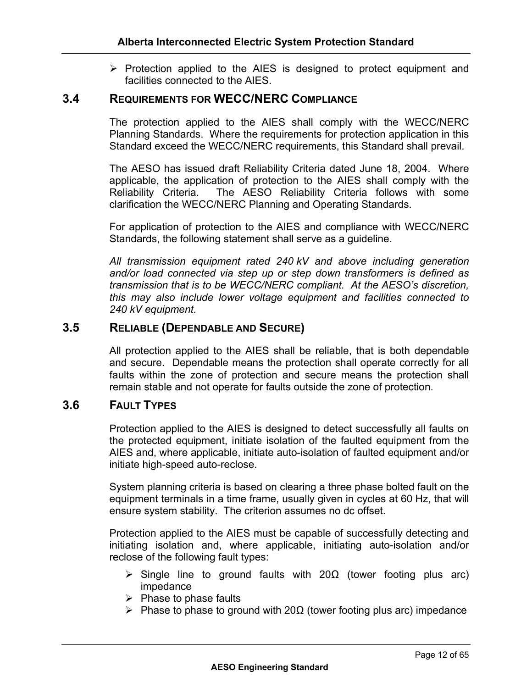$\triangleright$  Protection applied to the AIES is designed to protect equipment and facilities connected to the AIES.

# **3.4 REQUIREMENTS FOR WECC/NERC COMPLIANCE**

The protection applied to the AIES shall comply with the WECC/NERC Planning Standards. Where the requirements for protection application in this Standard exceed the WECC/NERC requirements, this Standard shall prevail.

The AESO has issued draft Reliability Criteria dated June 18, 2004. Where applicable, the application of protection to the AIES shall comply with the Reliability Criteria. The AESO Reliability Criteria follows with some clarification the WECC/NERC Planning and Operating Standards.

For application of protection to the AIES and compliance with WECC/NERC Standards, the following statement shall serve as a guideline.

*All transmission equipment rated 240 kV and above including generation and/or load connected via step up or step down transformers is defined as transmission that is to be WECC/NERC compliant. At the AESO's discretion, this may also include lower voltage equipment and facilities connected to 240 kV equipment.* 

## **3.5 RELIABLE (DEPENDABLE AND SECURE)**

All protection applied to the AIES shall be reliable, that is both dependable and secure. Dependable means the protection shall operate correctly for all faults within the zone of protection and secure means the protection shall remain stable and not operate for faults outside the zone of protection.

# **3.6 FAULT TYPES**

Protection applied to the AIES is designed to detect successfully all faults on the protected equipment, initiate isolation of the faulted equipment from the AIES and, where applicable, initiate auto-isolation of faulted equipment and/or initiate high-speed auto-reclose.

System planning criteria is based on clearing a three phase bolted fault on the equipment terminals in a time frame, usually given in cycles at 60 Hz, that will ensure system stability. The criterion assumes no dc offset.

Protection applied to the AIES must be capable of successfully detecting and initiating isolation and, where applicable, initiating auto-isolation and/or reclose of the following fault types:

- $\triangleright$  Single line to ground faults with 20 $\Omega$  (tower footing plus arc) impedance
- $\triangleright$  Phase to phase faults
- $\triangleright$  Phase to phase to ground with 20 $\Omega$  (tower footing plus arc) impedance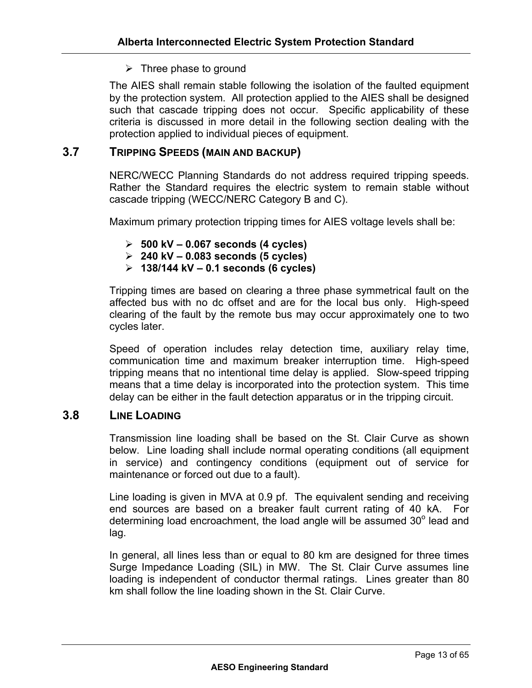## $\triangleright$  Three phase to ground

The AIES shall remain stable following the isolation of the faulted equipment by the protection system. All protection applied to the AIES shall be designed such that cascade tripping does not occur. Specific applicability of these criteria is discussed in more detail in the following section dealing with the protection applied to individual pieces of equipment.

# **3.7 TRIPPING SPEEDS (MAIN AND BACKUP)**

NERC/WECC Planning Standards do not address required tripping speeds. Rather the Standard requires the electric system to remain stable without cascade tripping (WECC/NERC Category B and C).

Maximum primary protection tripping times for AIES voltage levels shall be:

- ¾ **500 kV 0.067 seconds (4 cycles)**
- ¾ **240 kV 0.083 seconds (5 cycles)**
- ¾ **138/144 kV 0.1 seconds (6 cycles)**

Tripping times are based on clearing a three phase symmetrical fault on the affected bus with no dc offset and are for the local bus only. High-speed clearing of the fault by the remote bus may occur approximately one to two cycles later.

Speed of operation includes relay detection time, auxiliary relay time, communication time and maximum breaker interruption time. High-speed tripping means that no intentional time delay is applied. Slow-speed tripping means that a time delay is incorporated into the protection system. This time delay can be either in the fault detection apparatus or in the tripping circuit.

## **3.8 LINE LOADING**

Transmission line loading shall be based on the St. Clair Curve as shown below. Line loading shall include normal operating conditions (all equipment in service) and contingency conditions (equipment out of service for maintenance or forced out due to a fault).

Line loading is given in MVA at 0.9 pf. The equivalent sending and receiving end sources are based on a breaker fault current rating of 40 kA. For determining load encroachment, the load angle will be assumed  $30^{\circ}$  lead and lag.

In general, all lines less than or equal to 80 km are designed for three times Surge Impedance Loading (SIL) in MW. The St. Clair Curve assumes line loading is independent of conductor thermal ratings. Lines greater than 80 km shall follow the line loading shown in the St. Clair Curve.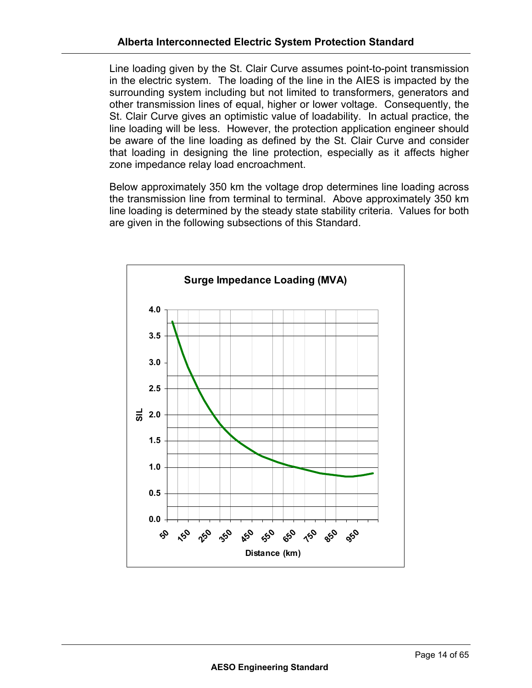Line loading given by the St. Clair Curve assumes point-to-point transmission in the electric system. The loading of the line in the AIES is impacted by the surrounding system including but not limited to transformers, generators and other transmission lines of equal, higher or lower voltage. Consequently, the St. Clair Curve gives an optimistic value of loadability. In actual practice, the line loading will be less. However, the protection application engineer should be aware of the line loading as defined by the St. Clair Curve and consider that loading in designing the line protection, especially as it affects higher zone impedance relay load encroachment.

Below approximately 350 km the voltage drop determines line loading across the transmission line from terminal to terminal. Above approximately 350 km line loading is determined by the steady state stability criteria. Values for both are given in the following subsections of this Standard.

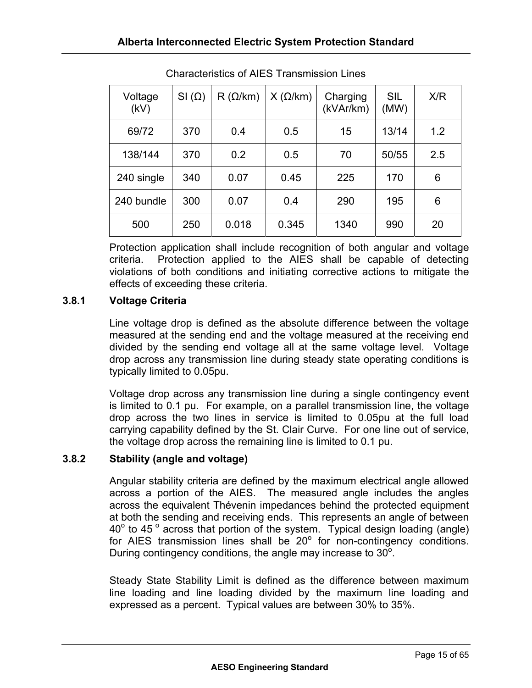| Voltage<br>(kV) | $SI(\Omega)$ | $R(\Omega/km)$ | $X(\Omega/km)$ | Charging<br>(kVAr/km) | <b>SIL</b><br>(MW) | X/R |
|-----------------|--------------|----------------|----------------|-----------------------|--------------------|-----|
| 69/72           | 370          | 0.4            | 0.5            | 15                    | 13/14              | 1.2 |
| 138/144         | 370          | 0.2            | 0.5            | 70                    | 50/55              | 2.5 |
| 240 single      | 340          | 0.07           | 0.45           | 225                   | 170                | 6   |
| 240 bundle      | 300          | 0.07           | 0.4            | 290                   | 195                | 6   |
| 500             | 250          | 0.018          | 0.345          | 1340                  | 990                | 20  |

Characteristics of AIES Transmission Lines

Protection application shall include recognition of both angular and voltage criteria. Protection applied to the AIES shall be capable of detecting violations of both conditions and initiating corrective actions to mitigate the effects of exceeding these criteria.

# **3.8.1 Voltage Criteria**

Line voltage drop is defined as the absolute difference between the voltage measured at the sending end and the voltage measured at the receiving end divided by the sending end voltage all at the same voltage level. Voltage drop across any transmission line during steady state operating conditions is typically limited to 0.05pu.

Voltage drop across any transmission line during a single contingency event is limited to 0.1 pu. For example, on a parallel transmission line, the voltage drop across the two lines in service is limited to 0.05pu at the full load carrying capability defined by the St. Clair Curve. For one line out of service, the voltage drop across the remaining line is limited to 0.1 pu.

# **3.8.2 Stability (angle and voltage)**

Angular stability criteria are defined by the maximum electrical angle allowed across a portion of the AIES. The measured angle includes the angles across the equivalent Thévenin impedances behind the protected equipment at both the sending and receiving ends. This represents an angle of between  $40^{\circ}$  to 45  $^{\circ}$  across that portion of the system. Typical design loading (angle) for AIES transmission lines shall be  $20^\circ$  for non-contingency conditions. During contingency conditions, the angle may increase to  $30^{\circ}$ .

Steady State Stability Limit is defined as the difference between maximum line loading and line loading divided by the maximum line loading and expressed as a percent. Typical values are between 30% to 35%.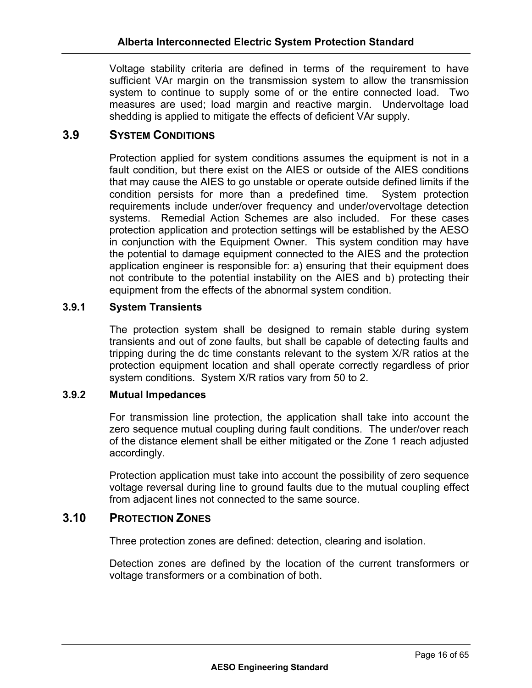Voltage stability criteria are defined in terms of the requirement to have sufficient VAr margin on the transmission system to allow the transmission system to continue to supply some of or the entire connected load. Two measures are used; load margin and reactive margin. Undervoltage load shedding is applied to mitigate the effects of deficient VAr supply.

# **3.9 SYSTEM CONDITIONS**

Protection applied for system conditions assumes the equipment is not in a fault condition, but there exist on the AIES or outside of the AIES conditions that may cause the AIES to go unstable or operate outside defined limits if the condition persists for more than a predefined time. System protection requirements include under/over frequency and under/overvoltage detection systems. Remedial Action Schemes are also included. For these cases protection application and protection settings will be established by the AESO in conjunction with the Equipment Owner. This system condition may have the potential to damage equipment connected to the AIES and the protection application engineer is responsible for: a) ensuring that their equipment does not contribute to the potential instability on the AIES and b) protecting their equipment from the effects of the abnormal system condition.

## **3.9.1 System Transients**

The protection system shall be designed to remain stable during system transients and out of zone faults, but shall be capable of detecting faults and tripping during the dc time constants relevant to the system X/R ratios at the protection equipment location and shall operate correctly regardless of prior system conditions. System X/R ratios vary from 50 to 2.

#### **3.9.2 Mutual Impedances**

For transmission line protection, the application shall take into account the zero sequence mutual coupling during fault conditions. The under/over reach of the distance element shall be either mitigated or the Zone 1 reach adjusted accordingly.

Protection application must take into account the possibility of zero sequence voltage reversal during line to ground faults due to the mutual coupling effect from adjacent lines not connected to the same source.

# **3.10 PROTECTION ZONES**

Three protection zones are defined: detection, clearing and isolation.

Detection zones are defined by the location of the current transformers or voltage transformers or a combination of both.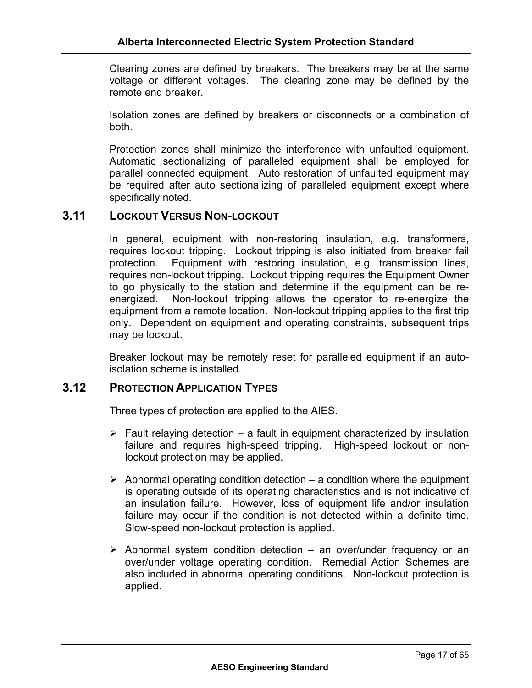Clearing zones are defined by breakers. The breakers may be at the same voltage or different voltages. The clearing zone may be defined by the remote end breaker.

Isolation zones are defined by breakers or disconnects or a combination of both.

Protection zones shall minimize the interference with unfaulted equipment. Automatic sectionalizing of paralleled equipment shall be employed for parallel connected equipment. Auto restoration of unfaulted equipment may be required after auto sectionalizing of paralleled equipment except where specifically noted.

# **3.11 LOCKOUT VERSUS NON-LOCKOUT**

In general, equipment with non-restoring insulation, e.g. transformers, requires lockout tripping. Lockout tripping is also initiated from breaker fail protection. Equipment with restoring insulation, e.g. transmission lines, requires non-lockout tripping. Lockout tripping requires the Equipment Owner to go physically to the station and determine if the equipment can be reenergized. Non-lockout tripping allows the operator to re-energize the equipment from a remote location. Non-lockout tripping applies to the first trip only. Dependent on equipment and operating constraints, subsequent trips may be lockout.

Breaker lockout may be remotely reset for paralleled equipment if an autoisolation scheme is installed.

#### **3.12 PROTECTION APPLICATION TYPES**

Three types of protection are applied to the AIES.

- $\triangleright$  Fault relaying detection a fault in equipment characterized by insulation failure and requires high-speed tripping. High-speed lockout or nonlockout protection may be applied.
- $\triangleright$  Abnormal operating condition detection a condition where the equipment is operating outside of its operating characteristics and is not indicative of an insulation failure. However, loss of equipment life and/or insulation failure may occur if the condition is not detected within a definite time. Slow-speed non-lockout protection is applied.
- $\triangleright$  Abnormal system condition detection an over/under frequency or an over/under voltage operating condition. Remedial Action Schemes are also included in abnormal operating conditions. Non-lockout protection is applied.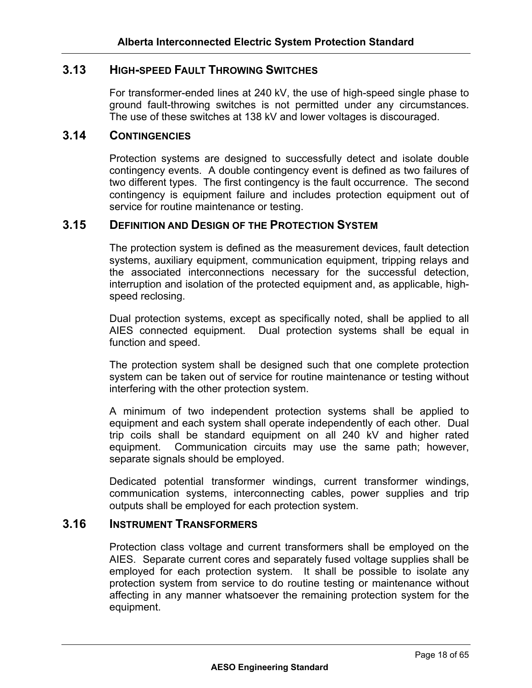# **3.13 HIGH-SPEED FAULT THROWING SWITCHES**

For transformer-ended lines at 240 kV, the use of high-speed single phase to ground fault-throwing switches is not permitted under any circumstances. The use of these switches at 138 kV and lower voltages is discouraged.

# **3.14 CONTINGENCIES**

Protection systems are designed to successfully detect and isolate double contingency events. A double contingency event is defined as two failures of two different types. The first contingency is the fault occurrence. The second contingency is equipment failure and includes protection equipment out of service for routine maintenance or testing.

# **3.15 DEFINITION AND DESIGN OF THE PROTECTION SYSTEM**

The protection system is defined as the measurement devices, fault detection systems, auxiliary equipment, communication equipment, tripping relays and the associated interconnections necessary for the successful detection, interruption and isolation of the protected equipment and, as applicable, highspeed reclosing.

Dual protection systems, except as specifically noted, shall be applied to all AIES connected equipment. Dual protection systems shall be equal in function and speed.

The protection system shall be designed such that one complete protection system can be taken out of service for routine maintenance or testing without interfering with the other protection system.

A minimum of two independent protection systems shall be applied to equipment and each system shall operate independently of each other. Dual trip coils shall be standard equipment on all 240 kV and higher rated equipment. Communication circuits may use the same path; however, separate signals should be employed.

Dedicated potential transformer windings, current transformer windings, communication systems, interconnecting cables, power supplies and trip outputs shall be employed for each protection system.

# **3.16 INSTRUMENT TRANSFORMERS**

Protection class voltage and current transformers shall be employed on the AIES. Separate current cores and separately fused voltage supplies shall be employed for each protection system. It shall be possible to isolate any protection system from service to do routine testing or maintenance without affecting in any manner whatsoever the remaining protection system for the equipment.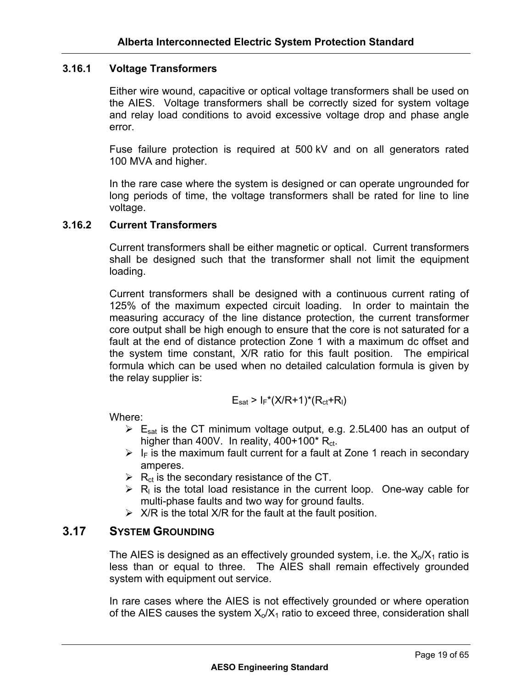#### **3.16.1 Voltage Transformers**

Either wire wound, capacitive or optical voltage transformers shall be used on the AIES. Voltage transformers shall be correctly sized for system voltage and relay load conditions to avoid excessive voltage drop and phase angle error.

Fuse failure protection is required at 500 kV and on all generators rated 100 MVA and higher.

In the rare case where the system is designed or can operate ungrounded for long periods of time, the voltage transformers shall be rated for line to line voltage.

#### **3.16.2 Current Transformers**

Current transformers shall be either magnetic or optical. Current transformers shall be designed such that the transformer shall not limit the equipment loading.

Current transformers shall be designed with a continuous current rating of 125% of the maximum expected circuit loading. In order to maintain the measuring accuracy of the line distance protection, the current transformer core output shall be high enough to ensure that the core is not saturated for a fault at the end of distance protection Zone 1 with a maximum dc offset and the system time constant, X/R ratio for this fault position. The empirical formula which can be used when no detailed calculation formula is given by the relay supplier is:

$$
E_{sat} > I_F^*(X/R+1)^*(R_{ct}+R_I)
$$

Where:

- $\triangleright$  E<sub>sat</sub> is the CT minimum voltage output, e.g. 2.5L400 has an output of higher than 400V. In reality,  $400+100$ <sup>\*</sup> R<sub>ct</sub>.
- $\triangleright$  I<sub>F</sub> is the maximum fault current for a fault at Zone 1 reach in secondary amperes.
- $\triangleright$  R<sub>ct</sub> is the secondary resistance of the CT.
- $\triangleright$  R<sub>I</sub> is the total load resistance in the current loop. One-way cable for multi-phase faults and two way for ground faults.
- $\triangleright$  X/R is the total X/R for the fault at the fault position.

# **3.17 SYSTEM GROUNDING**

The AIES is designed as an effectively grounded system, i.e. the  $X_0/X_1$  ratio is less than or equal to three. The AIES shall remain effectively grounded system with equipment out service.

In rare cases where the AIES is not effectively grounded or where operation of the AIES causes the system  $X_0/X_1$  ratio to exceed three, consideration shall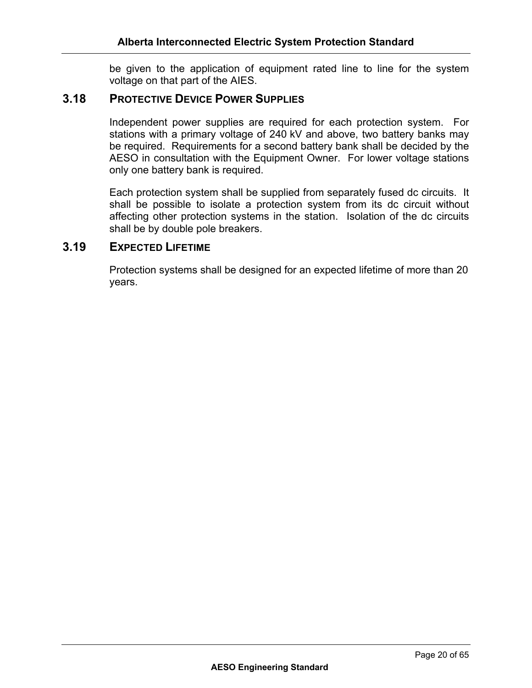be given to the application of equipment rated line to line for the system voltage on that part of the AIES.

# **3.18 PROTECTIVE DEVICE POWER SUPPLIES**

Independent power supplies are required for each protection system. For stations with a primary voltage of 240 kV and above, two battery banks may be required. Requirements for a second battery bank shall be decided by the AESO in consultation with the Equipment Owner. For lower voltage stations only one battery bank is required.

Each protection system shall be supplied from separately fused dc circuits. It shall be possible to isolate a protection system from its dc circuit without affecting other protection systems in the station. Isolation of the dc circuits shall be by double pole breakers.

## **3.19 EXPECTED LIFETIME**

Protection systems shall be designed for an expected lifetime of more than 20 years.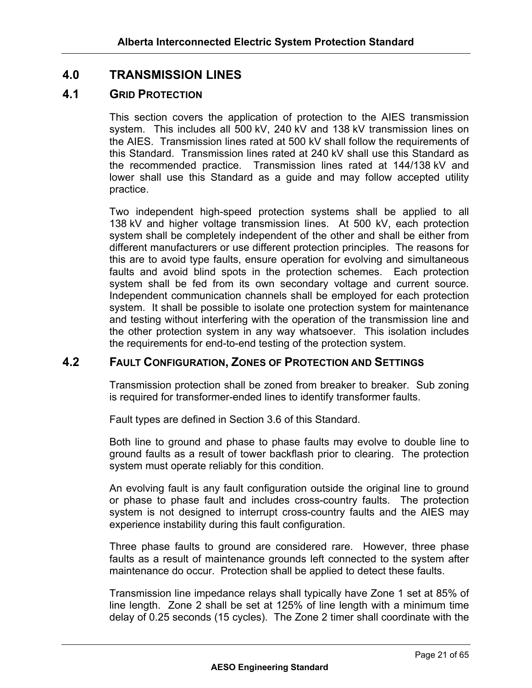# **4.0 TRANSMISSION LINES**

# **4.1 GRID PROTECTION**

This section covers the application of protection to the AIES transmission system. This includes all 500 kV, 240 kV and 138 kV transmission lines on the AIES. Transmission lines rated at 500 kV shall follow the requirements of this Standard. Transmission lines rated at 240 kV shall use this Standard as the recommended practice. Transmission lines rated at 144/138 kV and lower shall use this Standard as a guide and may follow accepted utility practice.

Two independent high-speed protection systems shall be applied to all 138 kV and higher voltage transmission lines. At 500 kV, each protection system shall be completely independent of the other and shall be either from different manufacturers or use different protection principles. The reasons for this are to avoid type faults, ensure operation for evolving and simultaneous faults and avoid blind spots in the protection schemes. Each protection system shall be fed from its own secondary voltage and current source. Independent communication channels shall be employed for each protection system. It shall be possible to isolate one protection system for maintenance and testing without interfering with the operation of the transmission line and the other protection system in any way whatsoever. This isolation includes the requirements for end-to-end testing of the protection system.

# **4.2 FAULT CONFIGURATION, ZONES OF PROTECTION AND SETTINGS**

Transmission protection shall be zoned from breaker to breaker. Sub zoning is required for transformer-ended lines to identify transformer faults.

Fault types are defined in Section 3.6 of this Standard.

Both line to ground and phase to phase faults may evolve to double line to ground faults as a result of tower backflash prior to clearing. The protection system must operate reliably for this condition.

An evolving fault is any fault configuration outside the original line to ground or phase to phase fault and includes cross-country faults. The protection system is not designed to interrupt cross-country faults and the AIES may experience instability during this fault configuration.

Three phase faults to ground are considered rare. However, three phase faults as a result of maintenance grounds left connected to the system after maintenance do occur. Protection shall be applied to detect these faults.

Transmission line impedance relays shall typically have Zone 1 set at 85% of line length. Zone 2 shall be set at 125% of line length with a minimum time delay of 0.25 seconds (15 cycles). The Zone 2 timer shall coordinate with the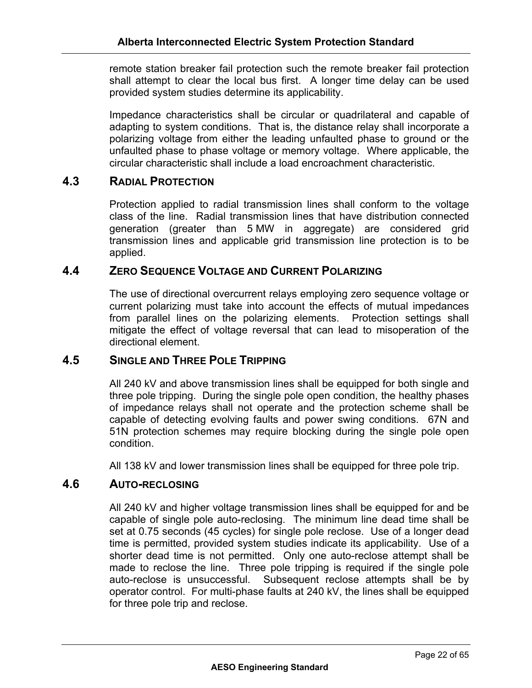remote station breaker fail protection such the remote breaker fail protection shall attempt to clear the local bus first. A longer time delay can be used provided system studies determine its applicability.

Impedance characteristics shall be circular or quadrilateral and capable of adapting to system conditions. That is, the distance relay shall incorporate a polarizing voltage from either the leading unfaulted phase to ground or the unfaulted phase to phase voltage or memory voltage. Where applicable, the circular characteristic shall include a load encroachment characteristic.

# **4.3 RADIAL PROTECTION**

Protection applied to radial transmission lines shall conform to the voltage class of the line. Radial transmission lines that have distribution connected generation (greater than 5 MW in aggregate) are considered grid transmission lines and applicable grid transmission line protection is to be applied.

# **4.4 ZERO SEQUENCE VOLTAGE AND CURRENT POLARIZING**

The use of directional overcurrent relays employing zero sequence voltage or current polarizing must take into account the effects of mutual impedances from parallel lines on the polarizing elements. Protection settings shall mitigate the effect of voltage reversal that can lead to misoperation of the directional element.

# **4.5 SINGLE AND THREE POLE TRIPPING**

All 240 kV and above transmission lines shall be equipped for both single and three pole tripping. During the single pole open condition, the healthy phases of impedance relays shall not operate and the protection scheme shall be capable of detecting evolving faults and power swing conditions. 67N and 51N protection schemes may require blocking during the single pole open condition.

All 138 kV and lower transmission lines shall be equipped for three pole trip.

# **4.6 AUTO-RECLOSING**

All 240 kV and higher voltage transmission lines shall be equipped for and be capable of single pole auto-reclosing. The minimum line dead time shall be set at 0.75 seconds (45 cycles) for single pole reclose. Use of a longer dead time is permitted, provided system studies indicate its applicability. Use of a shorter dead time is not permitted. Only one auto-reclose attempt shall be made to reclose the line. Three pole tripping is required if the single pole auto-reclose is unsuccessful. Subsequent reclose attempts shall be by operator control. For multi-phase faults at 240 kV, the lines shall be equipped for three pole trip and reclose.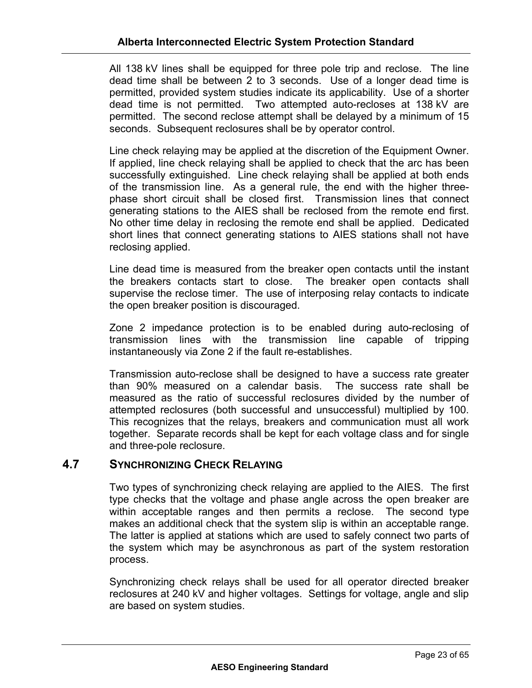All 138 kV lines shall be equipped for three pole trip and reclose. The line dead time shall be between 2 to 3 seconds. Use of a longer dead time is permitted, provided system studies indicate its applicability. Use of a shorter dead time is not permitted. Two attempted auto-recloses at 138 kV are permitted. The second reclose attempt shall be delayed by a minimum of 15 seconds. Subsequent reclosures shall be by operator control.

Line check relaying may be applied at the discretion of the Equipment Owner. If applied, line check relaying shall be applied to check that the arc has been successfully extinguished. Line check relaying shall be applied at both ends of the transmission line. As a general rule, the end with the higher threephase short circuit shall be closed first. Transmission lines that connect generating stations to the AIES shall be reclosed from the remote end first. No other time delay in reclosing the remote end shall be applied. Dedicated short lines that connect generating stations to AIES stations shall not have reclosing applied.

Line dead time is measured from the breaker open contacts until the instant the breakers contacts start to close. The breaker open contacts shall supervise the reclose timer. The use of interposing relay contacts to indicate the open breaker position is discouraged.

Zone 2 impedance protection is to be enabled during auto-reclosing of transmission lines with the transmission line capable of tripping instantaneously via Zone 2 if the fault re-establishes.

Transmission auto-reclose shall be designed to have a success rate greater than 90% measured on a calendar basis. The success rate shall be measured as the ratio of successful reclosures divided by the number of attempted reclosures (both successful and unsuccessful) multiplied by 100. This recognizes that the relays, breakers and communication must all work together. Separate records shall be kept for each voltage class and for single and three-pole reclosure.

# **4.7 SYNCHRONIZING CHECK RELAYING**

Two types of synchronizing check relaying are applied to the AIES. The first type checks that the voltage and phase angle across the open breaker are within acceptable ranges and then permits a reclose. The second type makes an additional check that the system slip is within an acceptable range. The latter is applied at stations which are used to safely connect two parts of the system which may be asynchronous as part of the system restoration process.

Synchronizing check relays shall be used for all operator directed breaker reclosures at 240 kV and higher voltages. Settings for voltage, angle and slip are based on system studies.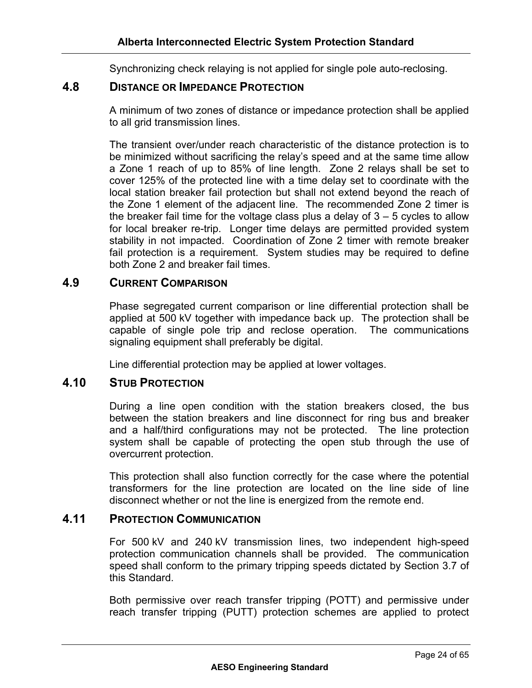Synchronizing check relaying is not applied for single pole auto-reclosing.

# **4.8 DISTANCE OR IMPEDANCE PROTECTION**

A minimum of two zones of distance or impedance protection shall be applied to all grid transmission lines.

The transient over/under reach characteristic of the distance protection is to be minimized without sacrificing the relay's speed and at the same time allow a Zone 1 reach of up to 85% of line length. Zone 2 relays shall be set to cover 125% of the protected line with a time delay set to coordinate with the local station breaker fail protection but shall not extend beyond the reach of the Zone 1 element of the adjacent line. The recommended Zone 2 timer is the breaker fail time for the voltage class plus a delay of  $3 - 5$  cycles to allow for local breaker re-trip. Longer time delays are permitted provided system stability in not impacted. Coordination of Zone 2 timer with remote breaker fail protection is a requirement. System studies may be required to define both Zone 2 and breaker fail times.

# **4.9 CURRENT COMPARISON**

Phase segregated current comparison or line differential protection shall be applied at 500 kV together with impedance back up. The protection shall be capable of single pole trip and reclose operation. The communications signaling equipment shall preferably be digital.

Line differential protection may be applied at lower voltages.

# **4.10 STUB PROTECTION**

During a line open condition with the station breakers closed, the bus between the station breakers and line disconnect for ring bus and breaker and a half/third configurations may not be protected. The line protection system shall be capable of protecting the open stub through the use of overcurrent protection.

This protection shall also function correctly for the case where the potential transformers for the line protection are located on the line side of line disconnect whether or not the line is energized from the remote end.

# **4.11 PROTECTION COMMUNICATION**

For 500 kV and 240 kV transmission lines, two independent high-speed protection communication channels shall be provided. The communication speed shall conform to the primary tripping speeds dictated by Section 3.7 of this Standard.

Both permissive over reach transfer tripping (POTT) and permissive under reach transfer tripping (PUTT) protection schemes are applied to protect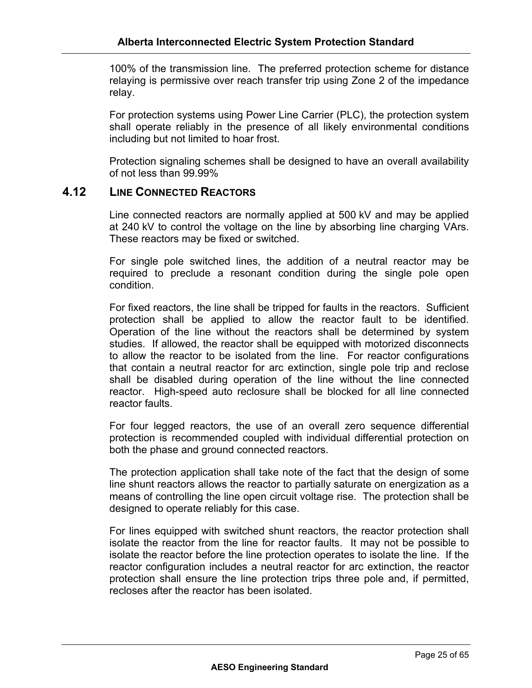100% of the transmission line. The preferred protection scheme for distance relaying is permissive over reach transfer trip using Zone 2 of the impedance relay.

For protection systems using Power Line Carrier (PLC), the protection system shall operate reliably in the presence of all likely environmental conditions including but not limited to hoar frost.

Protection signaling schemes shall be designed to have an overall availability of not less than 99.99%

# **4.12 LINE CONNECTED REACTORS**

Line connected reactors are normally applied at 500 kV and may be applied at 240 kV to control the voltage on the line by absorbing line charging VArs. These reactors may be fixed or switched.

For single pole switched lines, the addition of a neutral reactor may be required to preclude a resonant condition during the single pole open condition.

For fixed reactors, the line shall be tripped for faults in the reactors. Sufficient protection shall be applied to allow the reactor fault to be identified. Operation of the line without the reactors shall be determined by system studies. If allowed, the reactor shall be equipped with motorized disconnects to allow the reactor to be isolated from the line. For reactor configurations that contain a neutral reactor for arc extinction, single pole trip and reclose shall be disabled during operation of the line without the line connected reactor. High-speed auto reclosure shall be blocked for all line connected reactor faults.

For four legged reactors, the use of an overall zero sequence differential protection is recommended coupled with individual differential protection on both the phase and ground connected reactors.

The protection application shall take note of the fact that the design of some line shunt reactors allows the reactor to partially saturate on energization as a means of controlling the line open circuit voltage rise. The protection shall be designed to operate reliably for this case.

For lines equipped with switched shunt reactors, the reactor protection shall isolate the reactor from the line for reactor faults. It may not be possible to isolate the reactor before the line protection operates to isolate the line. If the reactor configuration includes a neutral reactor for arc extinction, the reactor protection shall ensure the line protection trips three pole and, if permitted, recloses after the reactor has been isolated.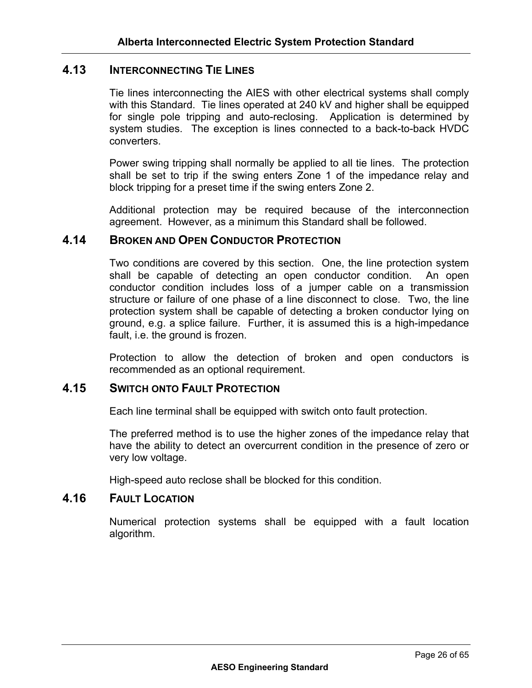# **4.13 INTERCONNECTING TIE LINES**

Tie lines interconnecting the AIES with other electrical systems shall comply with this Standard. Tie lines operated at 240 kV and higher shall be equipped for single pole tripping and auto-reclosing. Application is determined by system studies. The exception is lines connected to a back-to-back HVDC converters.

Power swing tripping shall normally be applied to all tie lines. The protection shall be set to trip if the swing enters Zone 1 of the impedance relay and block tripping for a preset time if the swing enters Zone 2.

Additional protection may be required because of the interconnection agreement. However, as a minimum this Standard shall be followed.

# **4.14 BROKEN AND OPEN CONDUCTOR PROTECTION**

Two conditions are covered by this section. One, the line protection system shall be capable of detecting an open conductor condition. An open conductor condition includes loss of a jumper cable on a transmission structure or failure of one phase of a line disconnect to close. Two, the line protection system shall be capable of detecting a broken conductor lying on ground, e.g. a splice failure. Further, it is assumed this is a high-impedance fault, i.e. the ground is frozen.

Protection to allow the detection of broken and open conductors is recommended as an optional requirement.

## **4.15 SWITCH ONTO FAULT PROTECTION**

Each line terminal shall be equipped with switch onto fault protection.

The preferred method is to use the higher zones of the impedance relay that have the ability to detect an overcurrent condition in the presence of zero or very low voltage.

High-speed auto reclose shall be blocked for this condition.

# **4.16 FAULT LOCATION**

Numerical protection systems shall be equipped with a fault location algorithm.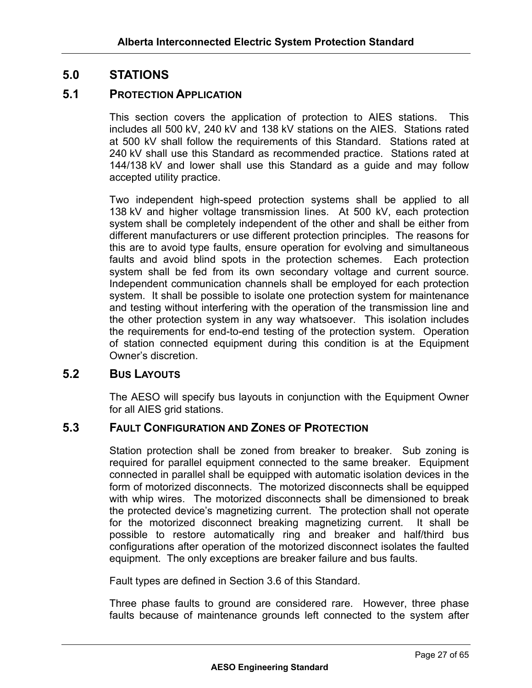# **5.0 STATIONS**

# **5.1 PROTECTION APPLICATION**

This section covers the application of protection to AIES stations. This includes all 500 kV, 240 kV and 138 kV stations on the AIES. Stations rated at 500 kV shall follow the requirements of this Standard. Stations rated at 240 kV shall use this Standard as recommended practice. Stations rated at 144/138 kV and lower shall use this Standard as a guide and may follow accepted utility practice.

Two independent high-speed protection systems shall be applied to all 138 kV and higher voltage transmission lines. At 500 kV, each protection system shall be completely independent of the other and shall be either from different manufacturers or use different protection principles. The reasons for this are to avoid type faults, ensure operation for evolving and simultaneous faults and avoid blind spots in the protection schemes. Each protection system shall be fed from its own secondary voltage and current source. Independent communication channels shall be employed for each protection system. It shall be possible to isolate one protection system for maintenance and testing without interfering with the operation of the transmission line and the other protection system in any way whatsoever. This isolation includes the requirements for end-to-end testing of the protection system. Operation of station connected equipment during this condition is at the Equipment Owner's discretion.

# **5.2 BUS LAYOUTS**

The AESO will specify bus layouts in conjunction with the Equipment Owner for all AIES grid stations.

# **5.3 FAULT CONFIGURATION AND ZONES OF PROTECTION**

Station protection shall be zoned from breaker to breaker. Sub zoning is required for parallel equipment connected to the same breaker. Equipment connected in parallel shall be equipped with automatic isolation devices in the form of motorized disconnects. The motorized disconnects shall be equipped with whip wires. The motorized disconnects shall be dimensioned to break the protected device's magnetizing current. The protection shall not operate for the motorized disconnect breaking magnetizing current. It shall be possible to restore automatically ring and breaker and half/third bus configurations after operation of the motorized disconnect isolates the faulted equipment. The only exceptions are breaker failure and bus faults.

Fault types are defined in Section 3.6 of this Standard.

Three phase faults to ground are considered rare. However, three phase faults because of maintenance grounds left connected to the system after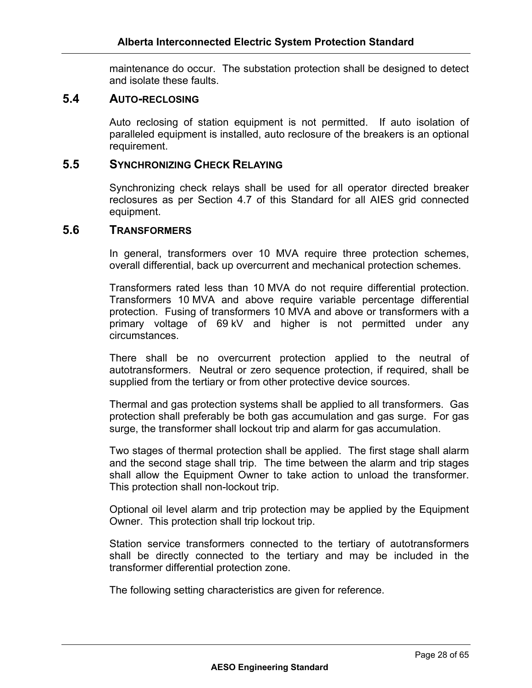maintenance do occur. The substation protection shall be designed to detect and isolate these faults.

#### **5.4 AUTO-RECLOSING**

Auto reclosing of station equipment is not permitted. If auto isolation of paralleled equipment is installed, auto reclosure of the breakers is an optional requirement.

# **5.5 SYNCHRONIZING CHECK RELAYING**

Synchronizing check relays shall be used for all operator directed breaker reclosures as per Section 4.7 of this Standard for all AIES grid connected equipment.

#### **5.6 TRANSFORMERS**

In general, transformers over 10 MVA require three protection schemes, overall differential, back up overcurrent and mechanical protection schemes.

Transformers rated less than 10 MVA do not require differential protection. Transformers 10 MVA and above require variable percentage differential protection. Fusing of transformers 10 MVA and above or transformers with a primary voltage of 69 kV and higher is not permitted under any circumstances.

There shall be no overcurrent protection applied to the neutral of autotransformers. Neutral or zero sequence protection, if required, shall be supplied from the tertiary or from other protective device sources.

Thermal and gas protection systems shall be applied to all transformers. Gas protection shall preferably be both gas accumulation and gas surge. For gas surge, the transformer shall lockout trip and alarm for gas accumulation.

Two stages of thermal protection shall be applied. The first stage shall alarm and the second stage shall trip. The time between the alarm and trip stages shall allow the Equipment Owner to take action to unload the transformer. This protection shall non-lockout trip.

Optional oil level alarm and trip protection may be applied by the Equipment Owner. This protection shall trip lockout trip.

Station service transformers connected to the tertiary of autotransformers shall be directly connected to the tertiary and may be included in the transformer differential protection zone.

The following setting characteristics are given for reference.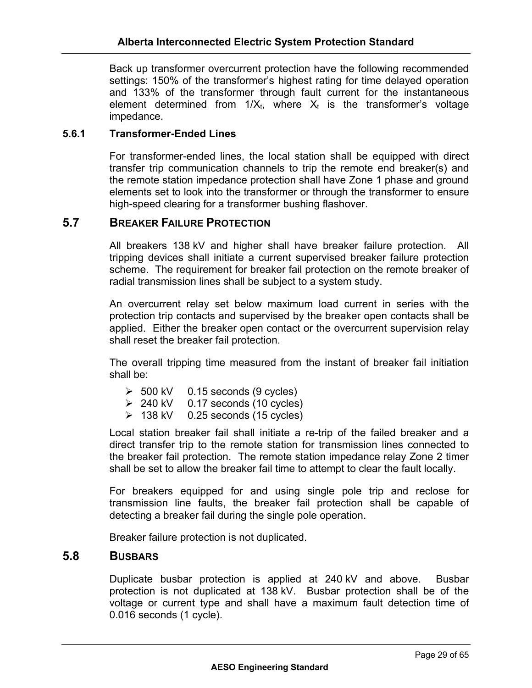Back up transformer overcurrent protection have the following recommended settings: 150% of the transformer's highest rating for time delayed operation and 133% of the transformer through fault current for the instantaneous element determined from  $1/X_t$ , where  $X_t$  is the transformer's voltage impedance.

## **5.6.1 Transformer-Ended Lines**

For transformer-ended lines, the local station shall be equipped with direct transfer trip communication channels to trip the remote end breaker(s) and the remote station impedance protection shall have Zone 1 phase and ground elements set to look into the transformer or through the transformer to ensure high-speed clearing for a transformer bushing flashover.

# **5.7 BREAKER FAILURE PROTECTION**

All breakers 138 kV and higher shall have breaker failure protection. All tripping devices shall initiate a current supervised breaker failure protection scheme. The requirement for breaker fail protection on the remote breaker of radial transmission lines shall be subject to a system study.

An overcurrent relay set below maximum load current in series with the protection trip contacts and supervised by the breaker open contacts shall be applied. Either the breaker open contact or the overcurrent supervision relay shall reset the breaker fail protection.

The overall tripping time measured from the instant of breaker fail initiation shall be:

- $\geq$  500 kV 0.15 seconds (9 cycles)
- $\geq 240$  kV 0.17 seconds (10 cycles)
- $\geq$  138 kV 0.25 seconds (15 cycles)

Local station breaker fail shall initiate a re-trip of the failed breaker and a direct transfer trip to the remote station for transmission lines connected to the breaker fail protection. The remote station impedance relay Zone 2 timer shall be set to allow the breaker fail time to attempt to clear the fault locally.

For breakers equipped for and using single pole trip and reclose for transmission line faults, the breaker fail protection shall be capable of detecting a breaker fail during the single pole operation.

Breaker failure protection is not duplicated.

#### **5.8 BUSBARS**

Duplicate busbar protection is applied at 240 kV and above. Busbar protection is not duplicated at 138 kV. Busbar protection shall be of the voltage or current type and shall have a maximum fault detection time of 0.016 seconds (1 cycle).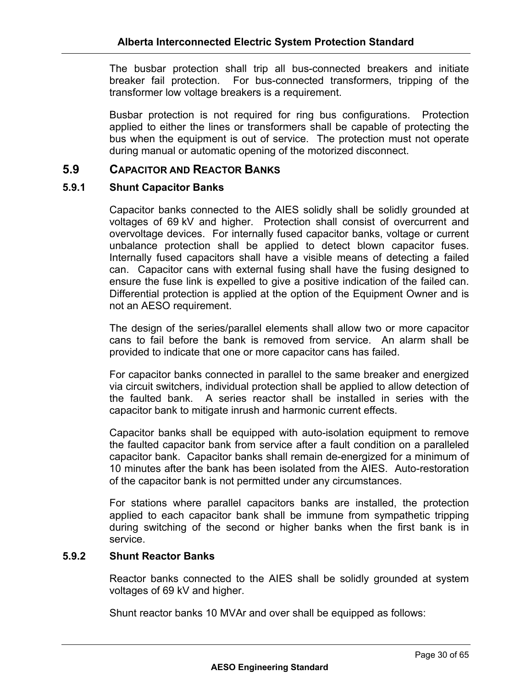The busbar protection shall trip all bus-connected breakers and initiate breaker fail protection. For bus-connected transformers, tripping of the transformer low voltage breakers is a requirement.

Busbar protection is not required for ring bus configurations. Protection applied to either the lines or transformers shall be capable of protecting the bus when the equipment is out of service. The protection must not operate during manual or automatic opening of the motorized disconnect.

# **5.9 CAPACITOR AND REACTOR BANKS**

#### **5.9.1 Shunt Capacitor Banks**

Capacitor banks connected to the AIES solidly shall be solidly grounded at voltages of 69 kV and higher. Protection shall consist of overcurrent and overvoltage devices. For internally fused capacitor banks, voltage or current unbalance protection shall be applied to detect blown capacitor fuses. Internally fused capacitors shall have a visible means of detecting a failed can. Capacitor cans with external fusing shall have the fusing designed to ensure the fuse link is expelled to give a positive indication of the failed can. Differential protection is applied at the option of the Equipment Owner and is not an AESO requirement.

The design of the series/parallel elements shall allow two or more capacitor cans to fail before the bank is removed from service. An alarm shall be provided to indicate that one or more capacitor cans has failed.

For capacitor banks connected in parallel to the same breaker and energized via circuit switchers, individual protection shall be applied to allow detection of the faulted bank. A series reactor shall be installed in series with the capacitor bank to mitigate inrush and harmonic current effects.

Capacitor banks shall be equipped with auto-isolation equipment to remove the faulted capacitor bank from service after a fault condition on a paralleled capacitor bank. Capacitor banks shall remain de-energized for a minimum of 10 minutes after the bank has been isolated from the AIES. Auto-restoration of the capacitor bank is not permitted under any circumstances.

For stations where parallel capacitors banks are installed, the protection applied to each capacitor bank shall be immune from sympathetic tripping during switching of the second or higher banks when the first bank is in service.

#### **5.9.2 Shunt Reactor Banks**

Reactor banks connected to the AIES shall be solidly grounded at system voltages of 69 kV and higher.

Shunt reactor banks 10 MVAr and over shall be equipped as follows: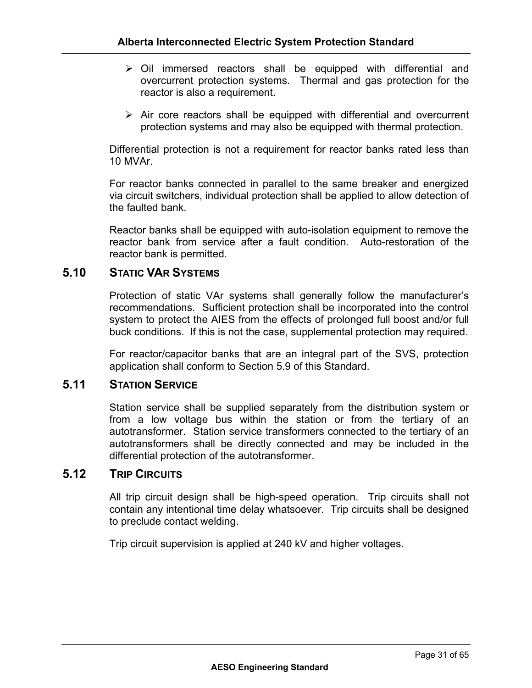- $\triangleright$  Oil immersed reactors shall be equipped with differential and overcurrent protection systems. Thermal and gas protection for the reactor is also a requirement.
- $\triangleright$  Air core reactors shall be equipped with differential and overcurrent protection systems and may also be equipped with thermal protection.

Differential protection is not a requirement for reactor banks rated less than 10 MVAr.

For reactor banks connected in parallel to the same breaker and energized via circuit switchers, individual protection shall be applied to allow detection of the faulted bank.

Reactor banks shall be equipped with auto-isolation equipment to remove the reactor bank from service after a fault condition. Auto-restoration of the reactor bank is permitted.

# **5.10 STATIC VAR SYSTEMS**

Protection of static VAr systems shall generally follow the manufacturer's recommendations. Sufficient protection shall be incorporated into the control system to protect the AIES from the effects of prolonged full boost and/or full buck conditions. If this is not the case, supplemental protection may required.

For reactor/capacitor banks that are an integral part of the SVS, protection application shall conform to Section 5.9 of this Standard.

## **5.11 STATION SERVICE**

Station service shall be supplied separately from the distribution system or from a low voltage bus within the station or from the tertiary of an autotransformer. Station service transformers connected to the tertiary of an autotransformers shall be directly connected and may be included in the differential protection of the autotransformer.

## **5.12 TRIP CIRCUITS**

All trip circuit design shall be high-speed operation. Trip circuits shall not contain any intentional time delay whatsoever. Trip circuits shall be designed to preclude contact welding.

Trip circuit supervision is applied at 240 kV and higher voltages.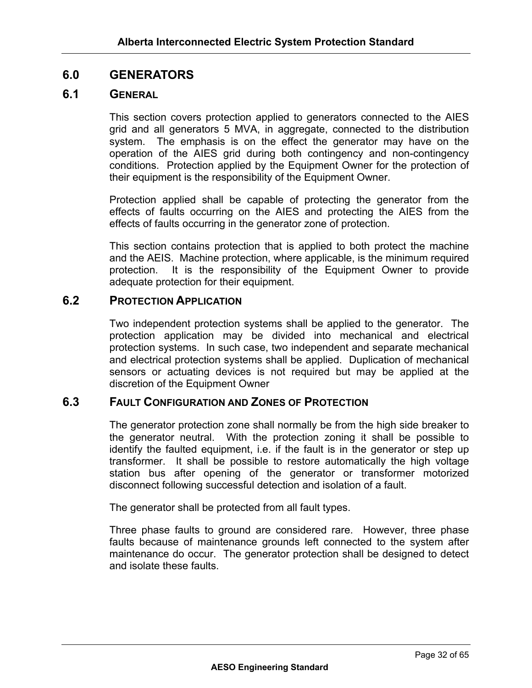# **6.0 GENERATORS**

## **6.1 GENERAL**

This section covers protection applied to generators connected to the AIES grid and all generators 5 MVA, in aggregate, connected to the distribution system. The emphasis is on the effect the generator may have on the operation of the AIES grid during both contingency and non-contingency conditions. Protection applied by the Equipment Owner for the protection of their equipment is the responsibility of the Equipment Owner.

Protection applied shall be capable of protecting the generator from the effects of faults occurring on the AIES and protecting the AIES from the effects of faults occurring in the generator zone of protection.

This section contains protection that is applied to both protect the machine and the AEIS. Machine protection, where applicable, is the minimum required protection. It is the responsibility of the Equipment Owner to provide adequate protection for their equipment.

# **6.2 PROTECTION APPLICATION**

Two independent protection systems shall be applied to the generator. The protection application may be divided into mechanical and electrical protection systems. In such case, two independent and separate mechanical and electrical protection systems shall be applied. Duplication of mechanical sensors or actuating devices is not required but may be applied at the discretion of the Equipment Owner

#### **6.3 FAULT CONFIGURATION AND ZONES OF PROTECTION**

The generator protection zone shall normally be from the high side breaker to the generator neutral. With the protection zoning it shall be possible to identify the faulted equipment, i.e. if the fault is in the generator or step up transformer. It shall be possible to restore automatically the high voltage station bus after opening of the generator or transformer motorized disconnect following successful detection and isolation of a fault.

The generator shall be protected from all fault types.

Three phase faults to ground are considered rare. However, three phase faults because of maintenance grounds left connected to the system after maintenance do occur. The generator protection shall be designed to detect and isolate these faults.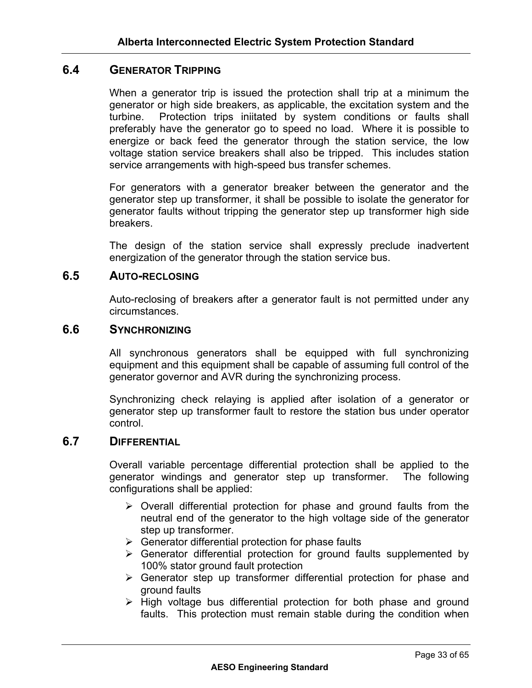# **6.4 GENERATOR TRIPPING**

When a generator trip is issued the protection shall trip at a minimum the generator or high side breakers, as applicable, the excitation system and the turbine. Protection trips iniitated by system conditions or faults shall preferably have the generator go to speed no load. Where it is possible to energize or back feed the generator through the station service, the low voltage station service breakers shall also be tripped. This includes station service arrangements with high-speed bus transfer schemes.

For generators with a generator breaker between the generator and the generator step up transformer, it shall be possible to isolate the generator for generator faults without tripping the generator step up transformer high side breakers.

The design of the station service shall expressly preclude inadvertent energization of the generator through the station service bus.

#### **6.5 AUTO-RECLOSING**

Auto-reclosing of breakers after a generator fault is not permitted under any circumstances.

#### **6.6 SYNCHRONIZING**

All synchronous generators shall be equipped with full synchronizing equipment and this equipment shall be capable of assuming full control of the generator governor and AVR during the synchronizing process.

Synchronizing check relaying is applied after isolation of a generator or generator step up transformer fault to restore the station bus under operator control.

#### **6.7 DIFFERENTIAL**

Overall variable percentage differential protection shall be applied to the generator windings and generator step up transformer. The following configurations shall be applied:

- $\triangleright$  Overall differential protection for phase and ground faults from the neutral end of the generator to the high voltage side of the generator step up transformer.
- $\triangleright$  Generator differential protection for phase faults
- $\triangleright$  Generator differential protection for ground faults supplemented by 100% stator ground fault protection
- $\triangleright$  Generator step up transformer differential protection for phase and ground faults
- $\triangleright$  High voltage bus differential protection for both phase and ground faults. This protection must remain stable during the condition when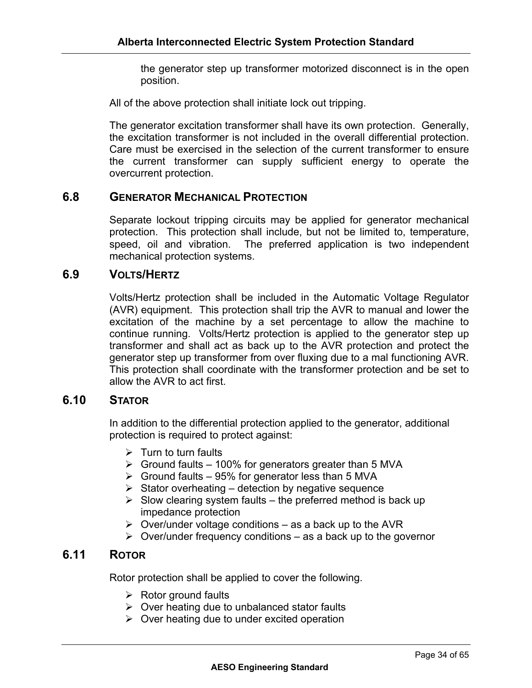the generator step up transformer motorized disconnect is in the open position.

All of the above protection shall initiate lock out tripping.

The generator excitation transformer shall have its own protection. Generally, the excitation transformer is not included in the overall differential protection. Care must be exercised in the selection of the current transformer to ensure the current transformer can supply sufficient energy to operate the overcurrent protection.

# **6.8 GENERATOR MECHANICAL PROTECTION**

Separate lockout tripping circuits may be applied for generator mechanical protection. This protection shall include, but not be limited to, temperature, speed, oil and vibration. The preferred application is two independent mechanical protection systems.

# **6.9 VOLTS/HERTZ**

Volts/Hertz protection shall be included in the Automatic Voltage Regulator (AVR) equipment. This protection shall trip the AVR to manual and lower the excitation of the machine by a set percentage to allow the machine to continue running. Volts/Hertz protection is applied to the generator step up transformer and shall act as back up to the AVR protection and protect the generator step up transformer from over fluxing due to a mal functioning AVR. This protection shall coordinate with the transformer protection and be set to allow the AVR to act first.

# **6.10 STATOR**

In addition to the differential protection applied to the generator, additional protection is required to protect against:

- $\triangleright$  Turn to turn faults
- $\triangleright$  Ground faults 100% for generators greater than 5 MVA
- $\triangleright$  Ground faults 95% for generator less than 5 MVA
- $\triangleright$  Stator overheating detection by negative sequence
- $\triangleright$  Slow clearing system faults the preferred method is back up impedance protection
- $\triangleright$  Over/under voltage conditions as a back up to the AVR
- $\triangleright$  Over/under frequency conditions as a back up to the governor

# **6.11 ROTOR**

Rotor protection shall be applied to cover the following.

- $\triangleright$  Rotor ground faults
- $\triangleright$  Over heating due to unbalanced stator faults
- $\triangleright$  Over heating due to under excited operation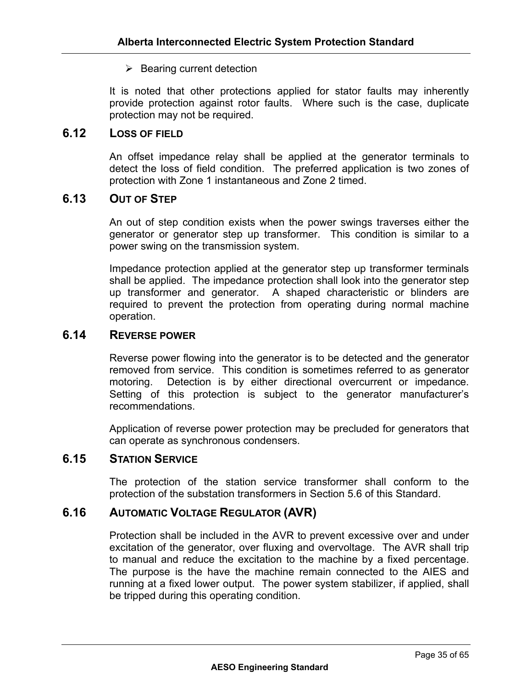#### $\triangleright$  Bearing current detection

It is noted that other protections applied for stator faults may inherently provide protection against rotor faults. Where such is the case, duplicate protection may not be required.

# **6.12 LOSS OF FIELD**

An offset impedance relay shall be applied at the generator terminals to detect the loss of field condition. The preferred application is two zones of protection with Zone 1 instantaneous and Zone 2 timed.

# **6.13 OUT OF STEP**

An out of step condition exists when the power swings traverses either the generator or generator step up transformer. This condition is similar to a power swing on the transmission system.

Impedance protection applied at the generator step up transformer terminals shall be applied. The impedance protection shall look into the generator step up transformer and generator. A shaped characteristic or blinders are required to prevent the protection from operating during normal machine operation.

#### **6.14 REVERSE POWER**

Reverse power flowing into the generator is to be detected and the generator removed from service. This condition is sometimes referred to as generator motoring. Detection is by either directional overcurrent or impedance. Setting of this protection is subject to the generator manufacturer's recommendations.

Application of reverse power protection may be precluded for generators that can operate as synchronous condensers.

# **6.15 STATION SERVICE**

The protection of the station service transformer shall conform to the protection of the substation transformers in Section 5.6 of this Standard.

# **6.16 AUTOMATIC VOLTAGE REGULATOR (AVR)**

Protection shall be included in the AVR to prevent excessive over and under excitation of the generator, over fluxing and overvoltage. The AVR shall trip to manual and reduce the excitation to the machine by a fixed percentage. The purpose is the have the machine remain connected to the AIES and running at a fixed lower output. The power system stabilizer, if applied, shall be tripped during this operating condition.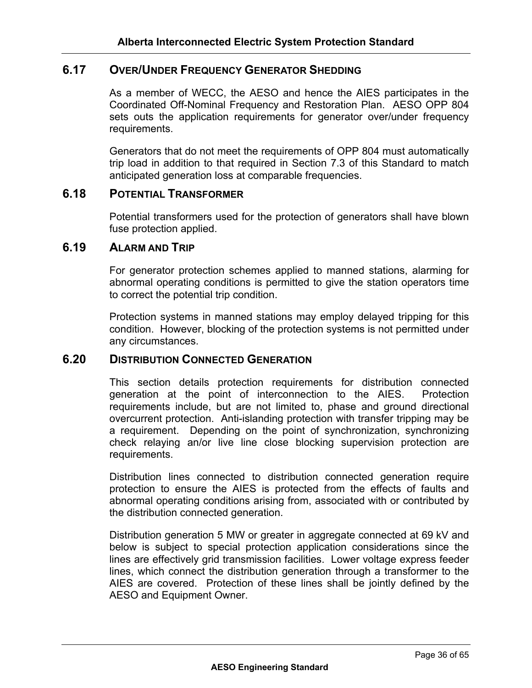# **6.17 OVER/UNDER FREQUENCY GENERATOR SHEDDING**

As a member of WECC, the AESO and hence the AIES participates in the Coordinated Off-Nominal Frequency and Restoration Plan. AESO OPP 804 sets outs the application requirements for generator over/under frequency requirements.

Generators that do not meet the requirements of OPP 804 must automatically trip load in addition to that required in Section 7.3 of this Standard to match anticipated generation loss at comparable frequencies.

#### **6.18 POTENTIAL TRANSFORMER**

Potential transformers used for the protection of generators shall have blown fuse protection applied.

## **6.19 ALARM AND TRIP**

For generator protection schemes applied to manned stations, alarming for abnormal operating conditions is permitted to give the station operators time to correct the potential trip condition.

Protection systems in manned stations may employ delayed tripping for this condition. However, blocking of the protection systems is not permitted under any circumstances.

# **6.20 DISTRIBUTION CONNECTED GENERATION**

This section details protection requirements for distribution connected generation at the point of interconnection to the AIES. Protection requirements include, but are not limited to, phase and ground directional overcurrent protection. Anti-islanding protection with transfer tripping may be a requirement. Depending on the point of synchronization, synchronizing check relaying an/or live line close blocking supervision protection are requirements.

Distribution lines connected to distribution connected generation require protection to ensure the AIES is protected from the effects of faults and abnormal operating conditions arising from, associated with or contributed by the distribution connected generation.

Distribution generation 5 MW or greater in aggregate connected at 69 kV and below is subject to special protection application considerations since the lines are effectively grid transmission facilities. Lower voltage express feeder lines, which connect the distribution generation through a transformer to the AIES are covered. Protection of these lines shall be jointly defined by the AESO and Equipment Owner.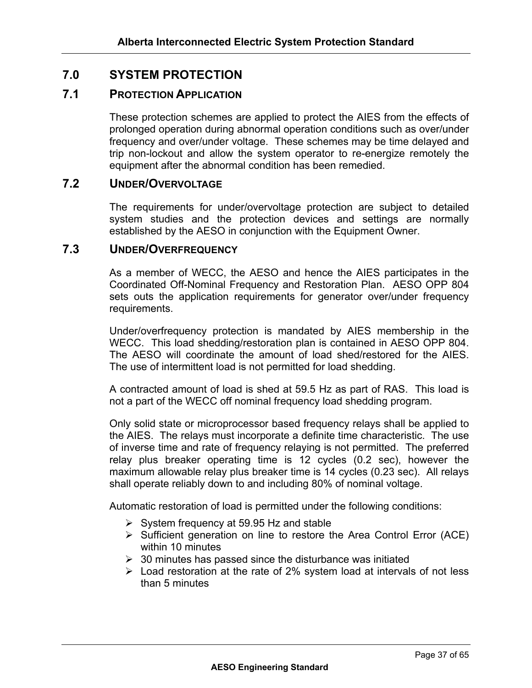# **7.0 SYSTEM PROTECTION**

# **7.1 PROTECTION APPLICATION**

These protection schemes are applied to protect the AIES from the effects of prolonged operation during abnormal operation conditions such as over/under frequency and over/under voltage. These schemes may be time delayed and trip non-lockout and allow the system operator to re-energize remotely the equipment after the abnormal condition has been remedied.

# **7.2 UNDER/OVERVOLTAGE**

The requirements for under/overvoltage protection are subject to detailed system studies and the protection devices and settings are normally established by the AESO in conjunction with the Equipment Owner.

#### **7.3 UNDER/OVERFREQUENCY**

As a member of WECC, the AESO and hence the AIES participates in the Coordinated Off-Nominal Frequency and Restoration Plan. AESO OPP 804 sets outs the application requirements for generator over/under frequency requirements.

Under/overfrequency protection is mandated by AIES membership in the WECC. This load shedding/restoration plan is contained in AESO OPP 804. The AESO will coordinate the amount of load shed/restored for the AIES. The use of intermittent load is not permitted for load shedding.

A contracted amount of load is shed at 59.5 Hz as part of RAS. This load is not a part of the WECC off nominal frequency load shedding program.

Only solid state or microprocessor based frequency relays shall be applied to the AIES. The relays must incorporate a definite time characteristic. The use of inverse time and rate of frequency relaying is not permitted. The preferred relay plus breaker operating time is 12 cycles (0.2 sec), however the maximum allowable relay plus breaker time is 14 cycles (0.23 sec). All relays shall operate reliably down to and including 80% of nominal voltage.

Automatic restoration of load is permitted under the following conditions:

- $\triangleright$  System frequency at 59.95 Hz and stable
- $\triangleright$  Sufficient generation on line to restore the Area Control Error (ACE) within 10 minutes
- $\geq$  30 minutes has passed since the disturbance was initiated
- $\triangleright$  Load restoration at the rate of 2% system load at intervals of not less than 5 minutes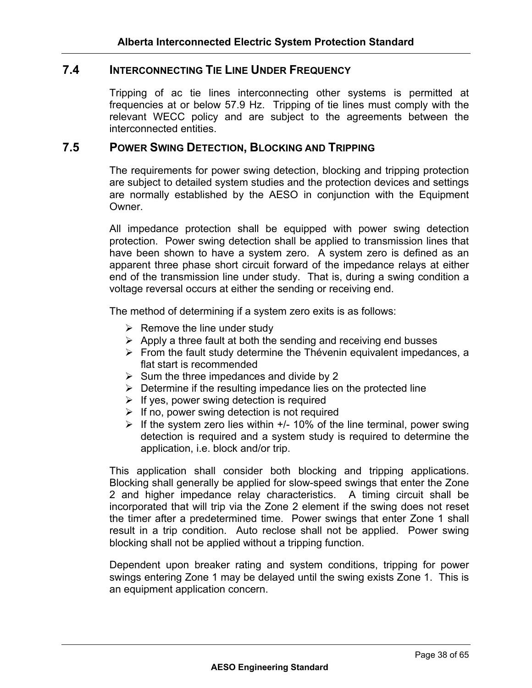# **7.4 INTERCONNECTING TIE LINE UNDER FREQUENCY**

Tripping of ac tie lines interconnecting other systems is permitted at frequencies at or below 57.9 Hz. Tripping of tie lines must comply with the relevant WECC policy and are subject to the agreements between the interconnected entities.

#### **7.5 POWER SWING DETECTION, BLOCKING AND TRIPPING**

The requirements for power swing detection, blocking and tripping protection are subject to detailed system studies and the protection devices and settings are normally established by the AESO in conjunction with the Equipment Owner.

All impedance protection shall be equipped with power swing detection protection. Power swing detection shall be applied to transmission lines that have been shown to have a system zero. A system zero is defined as an apparent three phase short circuit forward of the impedance relays at either end of the transmission line under study. That is, during a swing condition a voltage reversal occurs at either the sending or receiving end.

The method of determining if a system zero exits is as follows:

- $\triangleright$  Remove the line under study
- $\triangleright$  Apply a three fault at both the sending and receiving end busses
- $\triangleright$  From the fault study determine the Thévenin equivalent impedances, a flat start is recommended
- $\triangleright$  Sum the three impedances and divide by 2
- $\triangleright$  Determine if the resulting impedance lies on the protected line
- $\triangleright$  If yes, power swing detection is required
- $\triangleright$  If no, power swing detection is not required
- $\triangleright$  If the system zero lies within  $+/-$  10% of the line terminal, power swing detection is required and a system study is required to determine the application, i.e. block and/or trip.

This application shall consider both blocking and tripping applications. Blocking shall generally be applied for slow-speed swings that enter the Zone 2 and higher impedance relay characteristics. A timing circuit shall be incorporated that will trip via the Zone 2 element if the swing does not reset the timer after a predetermined time. Power swings that enter Zone 1 shall result in a trip condition. Auto reclose shall not be applied. Power swing blocking shall not be applied without a tripping function.

Dependent upon breaker rating and system conditions, tripping for power swings entering Zone 1 may be delayed until the swing exists Zone 1. This is an equipment application concern.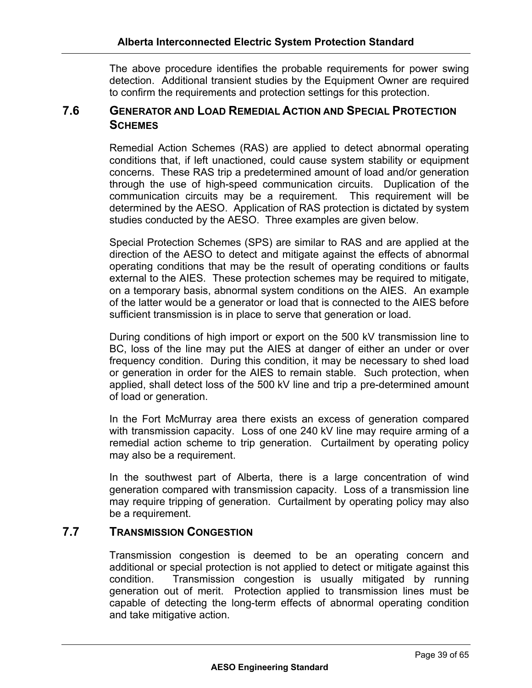The above procedure identifies the probable requirements for power swing detection. Additional transient studies by the Equipment Owner are required to confirm the requirements and protection settings for this protection.

# **7.6 GENERATOR AND LOAD REMEDIAL ACTION AND SPECIAL PROTECTION SCHEMES**

Remedial Action Schemes (RAS) are applied to detect abnormal operating conditions that, if left unactioned, could cause system stability or equipment concerns. These RAS trip a predetermined amount of load and/or generation through the use of high-speed communication circuits. Duplication of the communication circuits may be a requirement. This requirement will be determined by the AESO. Application of RAS protection is dictated by system studies conducted by the AESO. Three examples are given below.

Special Protection Schemes (SPS) are similar to RAS and are applied at the direction of the AESO to detect and mitigate against the effects of abnormal operating conditions that may be the result of operating conditions or faults external to the AIES. These protection schemes may be required to mitigate, on a temporary basis, abnormal system conditions on the AIES. An example of the latter would be a generator or load that is connected to the AIES before sufficient transmission is in place to serve that generation or load.

During conditions of high import or export on the 500 kV transmission line to BC, loss of the line may put the AIES at danger of either an under or over frequency condition. During this condition, it may be necessary to shed load or generation in order for the AIES to remain stable. Such protection, when applied, shall detect loss of the 500 kV line and trip a pre-determined amount of load or generation.

In the Fort McMurray area there exists an excess of generation compared with transmission capacity. Loss of one 240 kV line may require arming of a remedial action scheme to trip generation. Curtailment by operating policy may also be a requirement.

In the southwest part of Alberta, there is a large concentration of wind generation compared with transmission capacity. Loss of a transmission line may require tripping of generation. Curtailment by operating policy may also be a requirement.

# **7.7 TRANSMISSION CONGESTION**

Transmission congestion is deemed to be an operating concern and additional or special protection is not applied to detect or mitigate against this condition. Transmission congestion is usually mitigated by running generation out of merit. Protection applied to transmission lines must be capable of detecting the long-term effects of abnormal operating condition and take mitigative action.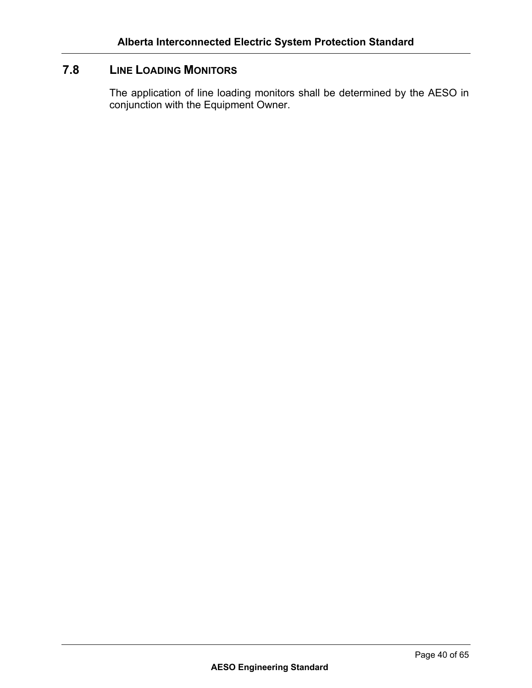# **7.8 LINE LOADING MONITORS**

The application of line loading monitors shall be determined by the AESO in conjunction with the Equipment Owner.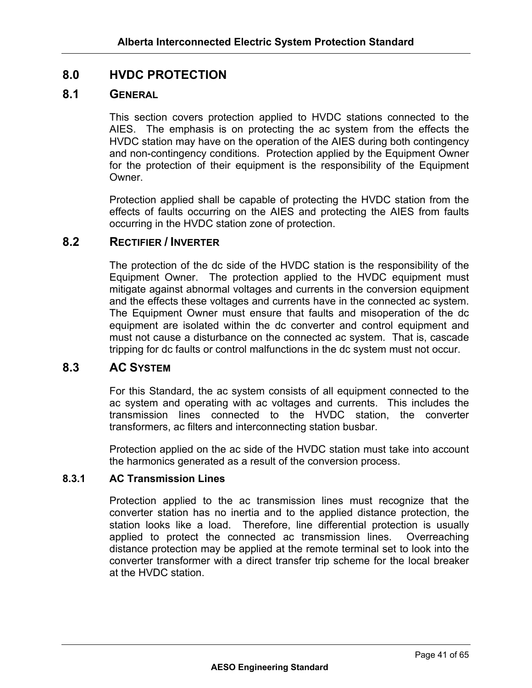# **8.0 HVDC PROTECTION**

# **8.1 GENERAL**

This section covers protection applied to HVDC stations connected to the AIES. The emphasis is on protecting the ac system from the effects the HVDC station may have on the operation of the AIES during both contingency and non-contingency conditions. Protection applied by the Equipment Owner for the protection of their equipment is the responsibility of the Equipment Owner.

Protection applied shall be capable of protecting the HVDC station from the effects of faults occurring on the AIES and protecting the AIES from faults occurring in the HVDC station zone of protection.

## **8.2 RECTIFIER / INVERTER**

The protection of the dc side of the HVDC station is the responsibility of the Equipment Owner. The protection applied to the HVDC equipment must mitigate against abnormal voltages and currents in the conversion equipment and the effects these voltages and currents have in the connected ac system. The Equipment Owner must ensure that faults and misoperation of the dc equipment are isolated within the dc converter and control equipment and must not cause a disturbance on the connected ac system. That is, cascade tripping for dc faults or control malfunctions in the dc system must not occur.

#### **8.3 AC SYSTEM**

For this Standard, the ac system consists of all equipment connected to the ac system and operating with ac voltages and currents. This includes the transmission lines connected to the HVDC station, the converter transformers, ac filters and interconnecting station busbar.

Protection applied on the ac side of the HVDC station must take into account the harmonics generated as a result of the conversion process.

#### **8.3.1 AC Transmission Lines**

Protection applied to the ac transmission lines must recognize that the converter station has no inertia and to the applied distance protection, the station looks like a load. Therefore, line differential protection is usually applied to protect the connected ac transmission lines. Overreaching distance protection may be applied at the remote terminal set to look into the converter transformer with a direct transfer trip scheme for the local breaker at the HVDC station.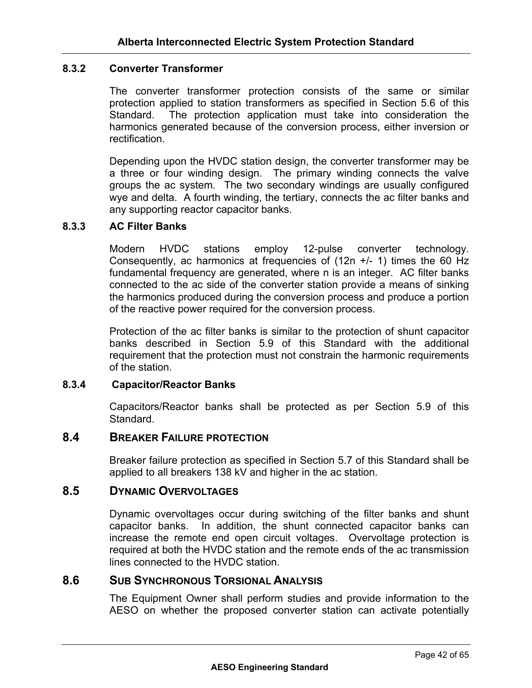## **8.3.2 Converter Transformer**

The converter transformer protection consists of the same or similar protection applied to station transformers as specified in Section 5.6 of this Standard. The protection application must take into consideration the harmonics generated because of the conversion process, either inversion or rectification.

Depending upon the HVDC station design, the converter transformer may be a three or four winding design. The primary winding connects the valve groups the ac system. The two secondary windings are usually configured wye and delta. A fourth winding, the tertiary, connects the ac filter banks and any supporting reactor capacitor banks.

#### **8.3.3 AC Filter Banks**

Modern HVDC stations employ 12-pulse converter technology. Consequently, ac harmonics at frequencies of  $(12n +1)$  times the 60 Hz fundamental frequency are generated, where n is an integer. AC filter banks connected to the ac side of the converter station provide a means of sinking the harmonics produced during the conversion process and produce a portion of the reactive power required for the conversion process.

Protection of the ac filter banks is similar to the protection of shunt capacitor banks described in Section 5.9 of this Standard with the additional requirement that the protection must not constrain the harmonic requirements of the station.

#### **8.3.4 Capacitor/Reactor Banks**

Capacitors/Reactor banks shall be protected as per Section 5.9 of this **Standard** 

#### **8.4 BREAKER FAILURE PROTECTION**

Breaker failure protection as specified in Section 5.7 of this Standard shall be applied to all breakers 138 kV and higher in the ac station.

#### **8.5 DYNAMIC OVERVOLTAGES**

Dynamic overvoltages occur during switching of the filter banks and shunt capacitor banks. In addition, the shunt connected capacitor banks can increase the remote end open circuit voltages. Overvoltage protection is required at both the HVDC station and the remote ends of the ac transmission lines connected to the HVDC station.

#### **8.6 SUB SYNCHRONOUS TORSIONAL ANALYSIS**

The Equipment Owner shall perform studies and provide information to the AESO on whether the proposed converter station can activate potentially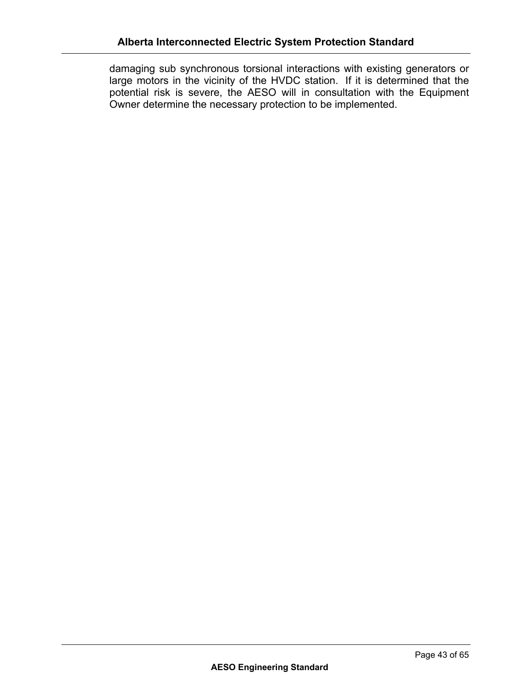damaging sub synchronous torsional interactions with existing generators or large motors in the vicinity of the HVDC station. If it is determined that the potential risk is severe, the AESO will in consultation with the Equipment Owner determine the necessary protection to be implemented.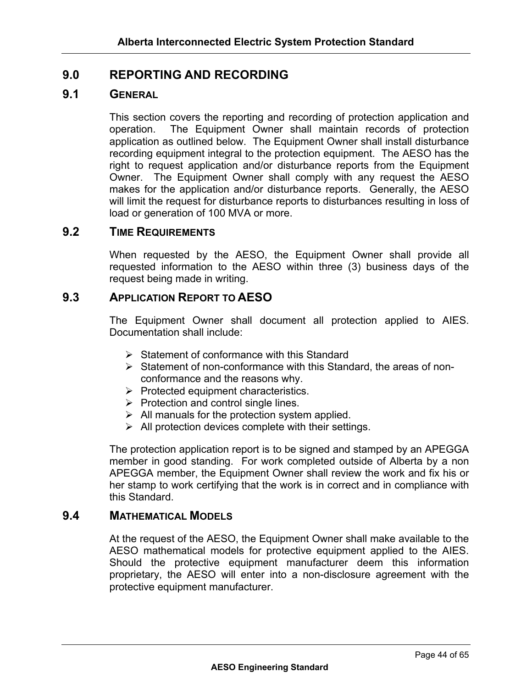# **9.0 REPORTING AND RECORDING**

# **9.1 GENERAL**

This section covers the reporting and recording of protection application and operation. The Equipment Owner shall maintain records of protection application as outlined below. The Equipment Owner shall install disturbance recording equipment integral to the protection equipment. The AESO has the right to request application and/or disturbance reports from the Equipment Owner. The Equipment Owner shall comply with any request the AESO makes for the application and/or disturbance reports. Generally, the AESO will limit the request for disturbance reports to disturbances resulting in loss of load or generation of 100 MVA or more.

#### **9.2 TIME REQUIREMENTS**

When requested by the AESO, the Equipment Owner shall provide all requested information to the AESO within three (3) business days of the request being made in writing.

# **9.3 APPLICATION REPORT TO AESO**

The Equipment Owner shall document all protection applied to AIES. Documentation shall include:

- $\triangleright$  Statement of conformance with this Standard
- $\triangleright$  Statement of non-conformance with this Standard, the areas of nonconformance and the reasons why.
- $\triangleright$  Protected equipment characteristics.
- $\triangleright$  Protection and control single lines.
- $\triangleright$  All manuals for the protection system applied.
- $\triangleright$  All protection devices complete with their settings.

The protection application report is to be signed and stamped by an APEGGA member in good standing. For work completed outside of Alberta by a non APEGGA member, the Equipment Owner shall review the work and fix his or her stamp to work certifying that the work is in correct and in compliance with this Standard.

#### **9.4 MATHEMATICAL MODELS**

At the request of the AESO, the Equipment Owner shall make available to the AESO mathematical models for protective equipment applied to the AIES. Should the protective equipment manufacturer deem this information proprietary, the AESO will enter into a non-disclosure agreement with the protective equipment manufacturer.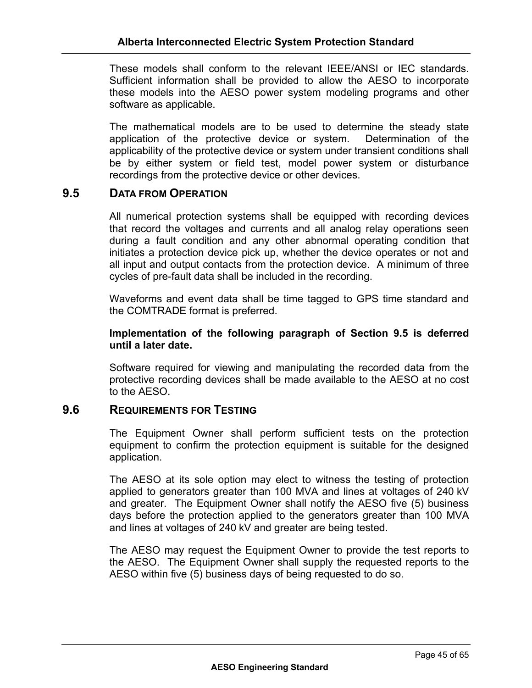These models shall conform to the relevant IEEE/ANSI or IEC standards. Sufficient information shall be provided to allow the AESO to incorporate these models into the AESO power system modeling programs and other software as applicable.

The mathematical models are to be used to determine the steady state application of the protective device or system. Determination of the applicability of the protective device or system under transient conditions shall be by either system or field test, model power system or disturbance recordings from the protective device or other devices.

# **9.5 DATA FROM OPERATION**

All numerical protection systems shall be equipped with recording devices that record the voltages and currents and all analog relay operations seen during a fault condition and any other abnormal operating condition that initiates a protection device pick up, whether the device operates or not and all input and output contacts from the protection device. A minimum of three cycles of pre-fault data shall be included in the recording.

Waveforms and event data shall be time tagged to GPS time standard and the COMTRADE format is preferred.

#### **Implementation of the following paragraph of Section 9.5 is deferred until a later date.**

Software required for viewing and manipulating the recorded data from the protective recording devices shall be made available to the AESO at no cost to the AESO.

#### **9.6 REQUIREMENTS FOR TESTING**

The Equipment Owner shall perform sufficient tests on the protection equipment to confirm the protection equipment is suitable for the designed application.

The AESO at its sole option may elect to witness the testing of protection applied to generators greater than 100 MVA and lines at voltages of 240 kV and greater. The Equipment Owner shall notify the AESO five (5) business days before the protection applied to the generators greater than 100 MVA and lines at voltages of 240 kV and greater are being tested.

The AESO may request the Equipment Owner to provide the test reports to the AESO. The Equipment Owner shall supply the requested reports to the AESO within five (5) business days of being requested to do so.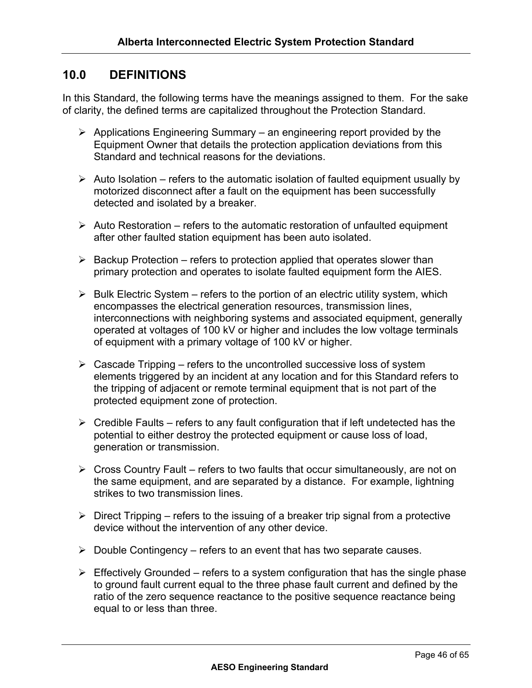# **10.0 DEFINITIONS**

In this Standard, the following terms have the meanings assigned to them. For the sake of clarity, the defined terms are capitalized throughout the Protection Standard.

- $\triangleright$  Applications Engineering Summary an engineering report provided by the Equipment Owner that details the protection application deviations from this Standard and technical reasons for the deviations.
- $\triangleright$  Auto Isolation refers to the automatic isolation of faulted equipment usually by motorized disconnect after a fault on the equipment has been successfully detected and isolated by a breaker.
- $\triangleright$  Auto Restoration refers to the automatic restoration of unfaulted equipment after other faulted station equipment has been auto isolated.
- $\triangleright$  Backup Protection refers to protection applied that operates slower than primary protection and operates to isolate faulted equipment form the AIES.
- $\triangleright$  Bulk Electric System refers to the portion of an electric utility system, which encompasses the electrical generation resources, transmission lines, interconnections with neighboring systems and associated equipment, generally operated at voltages of 100 kV or higher and includes the low voltage terminals of equipment with a primary voltage of 100 kV or higher.
- $\triangleright$  Cascade Tripping refers to the uncontrolled successive loss of system elements triggered by an incident at any location and for this Standard refers to the tripping of adjacent or remote terminal equipment that is not part of the protected equipment zone of protection.
- $\triangleright$  Credible Faults refers to any fault configuration that if left undetected has the potential to either destroy the protected equipment or cause loss of load, generation or transmission.
- $\triangleright$  Cross Country Fault refers to two faults that occur simultaneously, are not on the same equipment, and are separated by a distance. For example, lightning strikes to two transmission lines.
- $\triangleright$  Direct Tripping refers to the issuing of a breaker trip signal from a protective device without the intervention of any other device.
- $\triangleright$  Double Contingency refers to an event that has two separate causes.
- $\triangleright$  Effectively Grounded refers to a system configuration that has the single phase to ground fault current equal to the three phase fault current and defined by the ratio of the zero sequence reactance to the positive sequence reactance being equal to or less than three.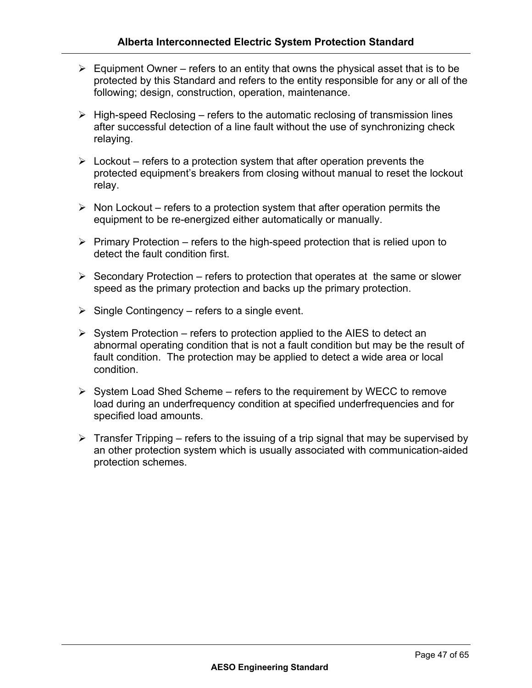- $\triangleright$  Equipment Owner refers to an entity that owns the physical asset that is to be protected by this Standard and refers to the entity responsible for any or all of the following; design, construction, operation, maintenance.
- $\triangleright$  High-speed Reclosing refers to the automatic reclosing of transmission lines after successful detection of a line fault without the use of synchronizing check relaying.
- $\triangleright$  Lockout refers to a protection system that after operation prevents the protected equipment's breakers from closing without manual to reset the lockout relay.
- $\triangleright$  Non Lockout refers to a protection system that after operation permits the equipment to be re-energized either automatically or manually.
- $\triangleright$  Primary Protection refers to the high-speed protection that is relied upon to detect the fault condition first.
- $\triangleright$  Secondary Protection refers to protection that operates at the same or slower speed as the primary protection and backs up the primary protection.
- $\triangleright$  Single Contingency refers to a single event.
- $\triangleright$  System Protection refers to protection applied to the AIES to detect an abnormal operating condition that is not a fault condition but may be the result of fault condition. The protection may be applied to detect a wide area or local condition.
- $\triangleright$  System Load Shed Scheme refers to the requirement by WECC to remove load during an underfrequency condition at specified underfrequencies and for specified load amounts.
- $\triangleright$  Transfer Tripping refers to the issuing of a trip signal that may be supervised by an other protection system which is usually associated with communication-aided protection schemes.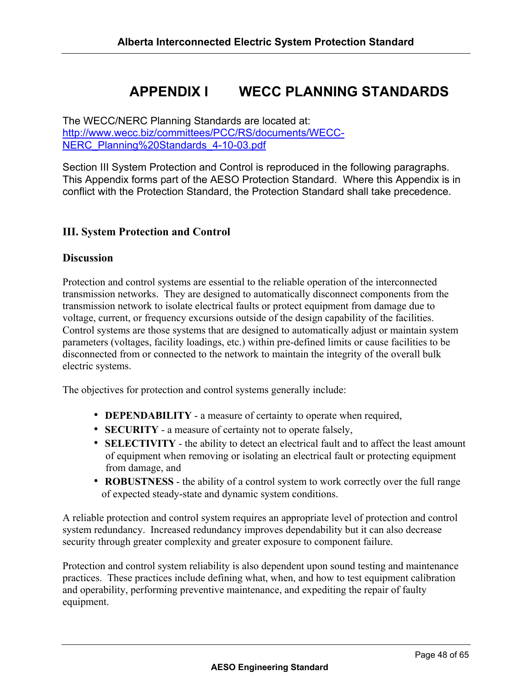# **APPENDIX I WECC PLANNING STANDARDS**

The WECC/NERC Planning Standards are located at: http://www.wecc.biz/committees/PCC/RS/documents/WECC-NERC\_Planning%20Standards\_4-10-03.pdf

Section III System Protection and Control is reproduced in the following paragraphs. This Appendix forms part of the AESO Protection Standard. Where this Appendix is in conflict with the Protection Standard, the Protection Standard shall take precedence.

## **III. System Protection and Control**

#### **Discussion**

Protection and control systems are essential to the reliable operation of the interconnected transmission networks. They are designed to automatically disconnect components from the transmission network to isolate electrical faults or protect equipment from damage due to voltage, current, or frequency excursions outside of the design capability of the facilities. Control systems are those systems that are designed to automatically adjust or maintain system parameters (voltages, facility loadings, etc.) within pre-defined limits or cause facilities to be disconnected from or connected to the network to maintain the integrity of the overall bulk electric systems.

The objectives for protection and control systems generally include:

- **DEPENDABILITY** a measure of certainty to operate when required,
- **SECURITY** a measure of certainty not to operate falsely,
- **SELECTIVITY** the ability to detect an electrical fault and to affect the least amount of equipment when removing or isolating an electrical fault or protecting equipment from damage, and
- **ROBUSTNESS** the ability of a control system to work correctly over the full range of expected steady-state and dynamic system conditions.

A reliable protection and control system requires an appropriate level of protection and control system redundancy. Increased redundancy improves dependability but it can also decrease security through greater complexity and greater exposure to component failure.

Protection and control system reliability is also dependent upon sound testing and maintenance practices. These practices include defining what, when, and how to test equipment calibration and operability, performing preventive maintenance, and expediting the repair of faulty equipment.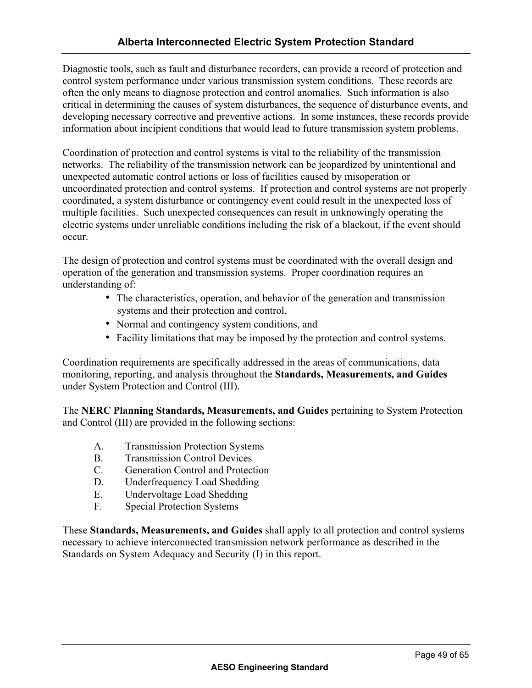Diagnostic tools, such as fault and disturbance recorders, can provide a record of protection and control system performance under various transmission system conditions. These records are often the only means to diagnose protection and control anomalies. Such information is also critical in determining the causes of system disturbances, the sequence of disturbance events, and developing necessary corrective and preventive actions. In some instances, these records provide information about incipient conditions that would lead to future transmission system problems.

Coordination of protection and control systems is vital to the reliability of the transmission networks. The reliability of the transmission network can be jeopardized by unintentional and unexpected automatic control actions or loss of facilities caused by misoperation or uncoordinated protection and control systems. If protection and control systems are not properly coordinated, a system disturbance or contingency event could result in the unexpected loss of multiple facilities. Such unexpected consequences can result in unknowingly operating the electric systems under unreliable conditions including the risk of a blackout, if the event should occur.

The design of protection and control systems must be coordinated with the overall design and operation of the generation and transmission systems. Proper coordination requires an understanding of:

- The characteristics, operation, and behavior of the generation and transmission systems and their protection and control,
- Normal and contingency system conditions, and
- Facility limitations that may be imposed by the protection and control systems.

Coordination requirements are specifically addressed in the areas of communications, data monitoring, reporting, and analysis throughout the **Standards, Measurements, and Guides**  under System Protection and Control (III).

The **NERC Planning Standards, Measurements, and Guides** pertaining to System Protection and Control (III) are provided in the following sections:

- A. Transmission Protection Systems
- B. Transmission Control Devices
- C. Generation Control and Protection
- D. Underfrequency Load Shedding
- E. Undervoltage Load Shedding
- F. Special Protection Systems

These **Standards, Measurements, and Guides** shall apply to all protection and control systems necessary to achieve interconnected transmission network performance as described in the Standards on System Adequacy and Security (I) in this report.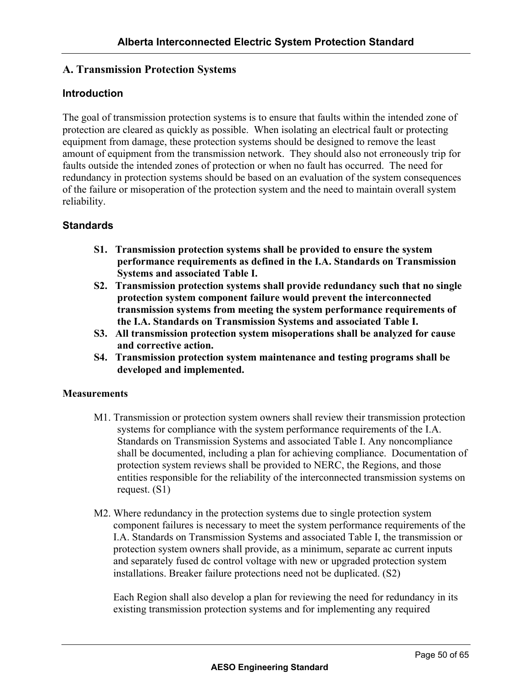# **A. Transmission Protection Systems**

#### **Introduction**

The goal of transmission protection systems is to ensure that faults within the intended zone of protection are cleared as quickly as possible. When isolating an electrical fault or protecting equipment from damage, these protection systems should be designed to remove the least amount of equipment from the transmission network. They should also not erroneously trip for faults outside the intended zones of protection or when no fault has occurred. The need for redundancy in protection systems should be based on an evaluation of the system consequences of the failure or misoperation of the protection system and the need to maintain overall system reliability.

# **Standards**

- **S1. Transmission protection systems shall be provided to ensure the system performance requirements as defined in the I.A. Standards on Transmission Systems and associated Table I.**
- **S2. Transmission protection systems shall provide redundancy such that no single protection system component failure would prevent the interconnected transmission systems from meeting the system performance requirements of the I.A. Standards on Transmission Systems and associated Table I.**
- **S3. All transmission protection system misoperations shall be analyzed for cause and corrective action.**
- **S4. Transmission protection system maintenance and testing programs shall be developed and implemented.**

#### **Measurements**

- M1. Transmission or protection system owners shall review their transmission protection systems for compliance with the system performance requirements of the I.A. Standards on Transmission Systems and associated Table I. Any noncompliance shall be documented, including a plan for achieving compliance. Documentation of protection system reviews shall be provided to NERC, the Regions, and those entities responsible for the reliability of the interconnected transmission systems on request. (S1)
- M2. Where redundancy in the protection systems due to single protection system component failures is necessary to meet the system performance requirements of the I.A. Standards on Transmission Systems and associated Table I, the transmission or protection system owners shall provide, as a minimum, separate ac current inputs and separately fused dc control voltage with new or upgraded protection system installations. Breaker failure protections need not be duplicated. (S2)

Each Region shall also develop a plan for reviewing the need for redundancy in its existing transmission protection systems and for implementing any required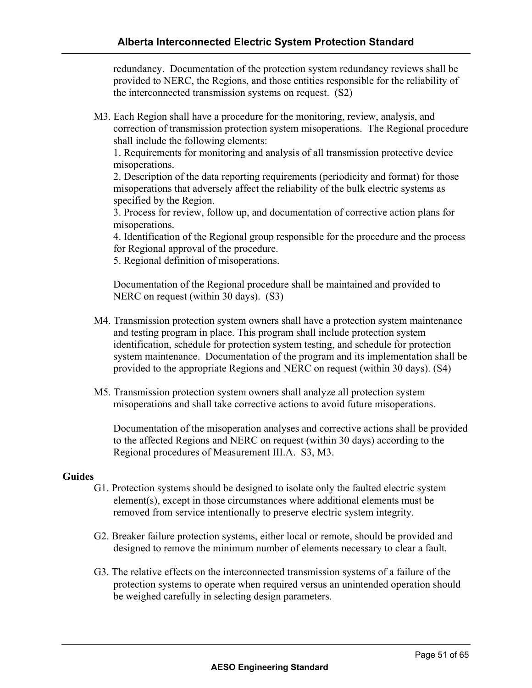redundancy. Documentation of the protection system redundancy reviews shall be provided to NERC, the Regions, and those entities responsible for the reliability of the interconnected transmission systems on request. (S2)

M3. Each Region shall have a procedure for the monitoring, review, analysis, and correction of transmission protection system misoperations. The Regional procedure shall include the following elements:

1. Requirements for monitoring and analysis of all transmission protective device misoperations.

2. Description of the data reporting requirements (periodicity and format) for those misoperations that adversely affect the reliability of the bulk electric systems as specified by the Region.

3. Process for review, follow up, and documentation of corrective action plans for misoperations.

4. Identification of the Regional group responsible for the procedure and the process for Regional approval of the procedure.

5. Regional definition of misoperations.

Documentation of the Regional procedure shall be maintained and provided to NERC on request (within 30 days). (S3)

- M4. Transmission protection system owners shall have a protection system maintenance and testing program in place. This program shall include protection system identification, schedule for protection system testing, and schedule for protection system maintenance. Documentation of the program and its implementation shall be provided to the appropriate Regions and NERC on request (within 30 days). (S4)
- M5. Transmission protection system owners shall analyze all protection system misoperations and shall take corrective actions to avoid future misoperations.

Documentation of the misoperation analyses and corrective actions shall be provided to the affected Regions and NERC on request (within 30 days) according to the Regional procedures of Measurement III.A. S3, M3.

#### **Guides**

- G1. Protection systems should be designed to isolate only the faulted electric system element(s), except in those circumstances where additional elements must be removed from service intentionally to preserve electric system integrity.
- G2. Breaker failure protection systems, either local or remote, should be provided and designed to remove the minimum number of elements necessary to clear a fault.
- G3. The relative effects on the interconnected transmission systems of a failure of the protection systems to operate when required versus an unintended operation should be weighed carefully in selecting design parameters.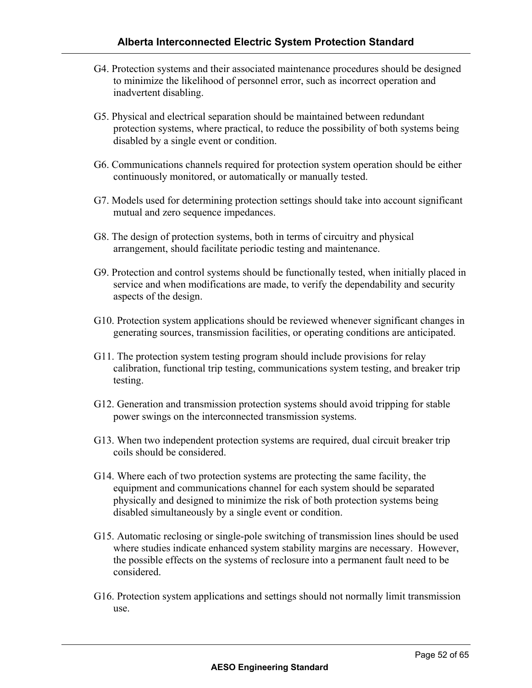- G4. Protection systems and their associated maintenance procedures should be designed to minimize the likelihood of personnel error, such as incorrect operation and inadvertent disabling.
- G5. Physical and electrical separation should be maintained between redundant protection systems, where practical, to reduce the possibility of both systems being disabled by a single event or condition.
- G6. Communications channels required for protection system operation should be either continuously monitored, or automatically or manually tested.
- G7. Models used for determining protection settings should take into account significant mutual and zero sequence impedances.
- G8. The design of protection systems, both in terms of circuitry and physical arrangement, should facilitate periodic testing and maintenance.
- G9. Protection and control systems should be functionally tested, when initially placed in service and when modifications are made, to verify the dependability and security aspects of the design.
- G10. Protection system applications should be reviewed whenever significant changes in generating sources, transmission facilities, or operating conditions are anticipated.
- G11. The protection system testing program should include provisions for relay calibration, functional trip testing, communications system testing, and breaker trip testing.
- G12. Generation and transmission protection systems should avoid tripping for stable power swings on the interconnected transmission systems.
- G13. When two independent protection systems are required, dual circuit breaker trip coils should be considered.
- G14. Where each of two protection systems are protecting the same facility, the equipment and communications channel for each system should be separated physically and designed to minimize the risk of both protection systems being disabled simultaneously by a single event or condition.
- G15. Automatic reclosing or single-pole switching of transmission lines should be used where studies indicate enhanced system stability margins are necessary. However, the possible effects on the systems of reclosure into a permanent fault need to be considered.
- G16. Protection system applications and settings should not normally limit transmission use.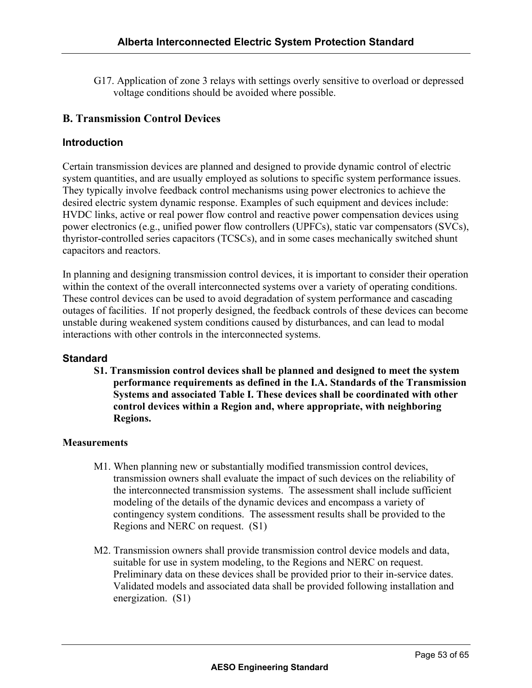G17. Application of zone 3 relays with settings overly sensitive to overload or depressed voltage conditions should be avoided where possible.

# **B. Transmission Control Devices**

## **Introduction**

Certain transmission devices are planned and designed to provide dynamic control of electric system quantities, and are usually employed as solutions to specific system performance issues. They typically involve feedback control mechanisms using power electronics to achieve the desired electric system dynamic response. Examples of such equipment and devices include: HVDC links, active or real power flow control and reactive power compensation devices using power electronics (e.g., unified power flow controllers (UPFCs), static var compensators (SVCs), thyristor-controlled series capacitors (TCSCs), and in some cases mechanically switched shunt capacitors and reactors.

In planning and designing transmission control devices, it is important to consider their operation within the context of the overall interconnected systems over a variety of operating conditions. These control devices can be used to avoid degradation of system performance and cascading outages of facilities. If not properly designed, the feedback controls of these devices can become unstable during weakened system conditions caused by disturbances, and can lead to modal interactions with other controls in the interconnected systems.

#### **Standard**

**S1. Transmission control devices shall be planned and designed to meet the system performance requirements as defined in the I.A. Standards of the Transmission Systems and associated Table I. These devices shall be coordinated with other control devices within a Region and, where appropriate, with neighboring Regions.** 

#### **Measurements**

- M1. When planning new or substantially modified transmission control devices, transmission owners shall evaluate the impact of such devices on the reliability of the interconnected transmission systems. The assessment shall include sufficient modeling of the details of the dynamic devices and encompass a variety of contingency system conditions. The assessment results shall be provided to the Regions and NERC on request. (S1)
- M2. Transmission owners shall provide transmission control device models and data, suitable for use in system modeling, to the Regions and NERC on request. Preliminary data on these devices shall be provided prior to their in-service dates. Validated models and associated data shall be provided following installation and energization. (S1)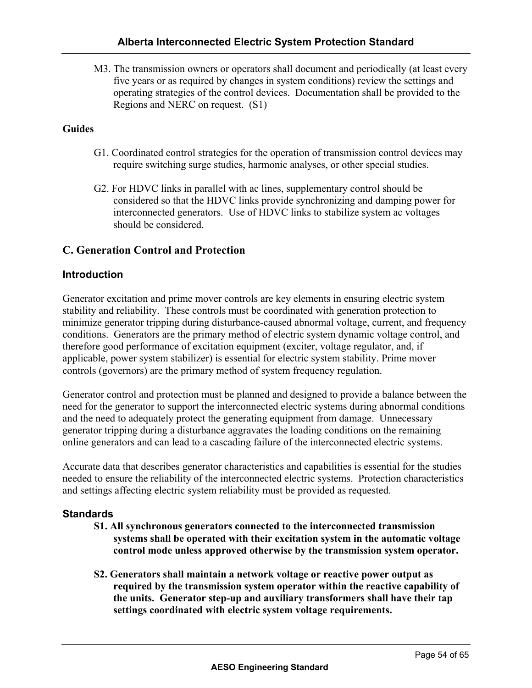M3. The transmission owners or operators shall document and periodically (at least every five years or as required by changes in system conditions) review the settings and operating strategies of the control devices. Documentation shall be provided to the Regions and NERC on request. (S1)

#### **Guides**

- G1. Coordinated control strategies for the operation of transmission control devices may require switching surge studies, harmonic analyses, or other special studies.
- G2. For HDVC links in parallel with ac lines, supplementary control should be considered so that the HDVC links provide synchronizing and damping power for interconnected generators. Use of HDVC links to stabilize system ac voltages should be considered.

## **C. Generation Control and Protection**

#### **Introduction**

Generator excitation and prime mover controls are key elements in ensuring electric system stability and reliability. These controls must be coordinated with generation protection to minimize generator tripping during disturbance-caused abnormal voltage, current, and frequency conditions. Generators are the primary method of electric system dynamic voltage control, and therefore good performance of excitation equipment (exciter, voltage regulator, and, if applicable, power system stabilizer) is essential for electric system stability. Prime mover controls (governors) are the primary method of system frequency regulation.

Generator control and protection must be planned and designed to provide a balance between the need for the generator to support the interconnected electric systems during abnormal conditions and the need to adequately protect the generating equipment from damage. Unnecessary generator tripping during a disturbance aggravates the loading conditions on the remaining online generators and can lead to a cascading failure of the interconnected electric systems.

Accurate data that describes generator characteristics and capabilities is essential for the studies needed to ensure the reliability of the interconnected electric systems. Protection characteristics and settings affecting electric system reliability must be provided as requested.

#### **Standards**

- **S1. All synchronous generators connected to the interconnected transmission systems shall be operated with their excitation system in the automatic voltage control mode unless approved otherwise by the transmission system operator.**
- **S2. Generators shall maintain a network voltage or reactive power output as required by the transmission system operator within the reactive capability of the units. Generator step-up and auxiliary transformers shall have their tap settings coordinated with electric system voltage requirements.**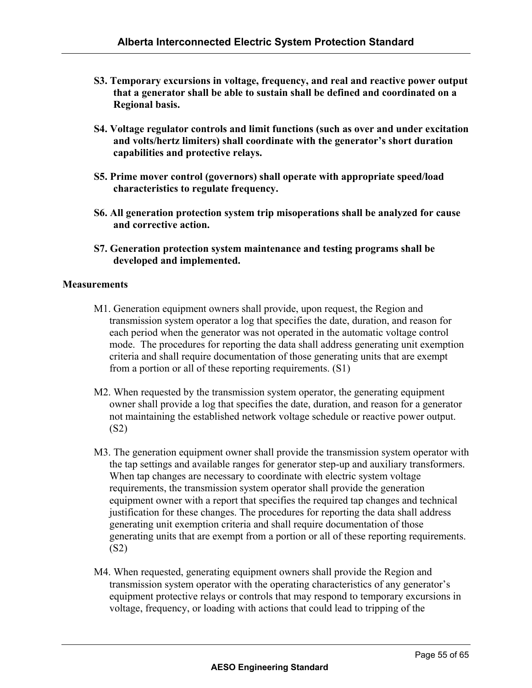- **S3. Temporary excursions in voltage, frequency, and real and reactive power output that a generator shall be able to sustain shall be defined and coordinated on a Regional basis.**
- **S4. Voltage regulator controls and limit functions (such as over and under excitation and volts/hertz limiters) shall coordinate with the generator's short duration capabilities and protective relays.**
- **S5. Prime mover control (governors) shall operate with appropriate speed/load characteristics to regulate frequency.**
- **S6. All generation protection system trip misoperations shall be analyzed for cause and corrective action.**
- **S7. Generation protection system maintenance and testing programs shall be developed and implemented.**

#### **Measurements**

- M1. Generation equipment owners shall provide, upon request, the Region and transmission system operator a log that specifies the date, duration, and reason for each period when the generator was not operated in the automatic voltage control mode. The procedures for reporting the data shall address generating unit exemption criteria and shall require documentation of those generating units that are exempt from a portion or all of these reporting requirements. (S1)
- M2. When requested by the transmission system operator, the generating equipment owner shall provide a log that specifies the date, duration, and reason for a generator not maintaining the established network voltage schedule or reactive power output. (S2)
- M3. The generation equipment owner shall provide the transmission system operator with the tap settings and available ranges for generator step-up and auxiliary transformers. When tap changes are necessary to coordinate with electric system voltage requirements, the transmission system operator shall provide the generation equipment owner with a report that specifies the required tap changes and technical justification for these changes. The procedures for reporting the data shall address generating unit exemption criteria and shall require documentation of those generating units that are exempt from a portion or all of these reporting requirements. (S2)
- M4. When requested, generating equipment owners shall provide the Region and transmission system operator with the operating characteristics of any generator's equipment protective relays or controls that may respond to temporary excursions in voltage, frequency, or loading with actions that could lead to tripping of the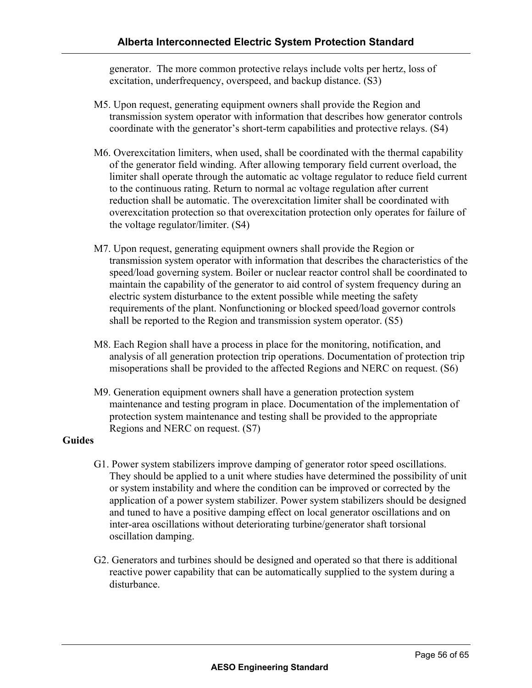generator. The more common protective relays include volts per hertz, loss of excitation, underfrequency, overspeed, and backup distance. (S3)

- M5. Upon request, generating equipment owners shall provide the Region and transmission system operator with information that describes how generator controls coordinate with the generator's short-term capabilities and protective relays. (S4)
- M6. Overexcitation limiters, when used, shall be coordinated with the thermal capability of the generator field winding. After allowing temporary field current overload, the limiter shall operate through the automatic ac voltage regulator to reduce field current to the continuous rating. Return to normal ac voltage regulation after current reduction shall be automatic. The overexcitation limiter shall be coordinated with overexcitation protection so that overexcitation protection only operates for failure of the voltage regulator/limiter. (S4)
- M7. Upon request, generating equipment owners shall provide the Region or transmission system operator with information that describes the characteristics of the speed/load governing system. Boiler or nuclear reactor control shall be coordinated to maintain the capability of the generator to aid control of system frequency during an electric system disturbance to the extent possible while meeting the safety requirements of the plant. Nonfunctioning or blocked speed/load governor controls shall be reported to the Region and transmission system operator. (S5)
- M8. Each Region shall have a process in place for the monitoring, notification, and analysis of all generation protection trip operations. Documentation of protection trip misoperations shall be provided to the affected Regions and NERC on request. (S6)
- M9. Generation equipment owners shall have a generation protection system maintenance and testing program in place. Documentation of the implementation of protection system maintenance and testing shall be provided to the appropriate Regions and NERC on request. (S7)

#### **Guides**

- G1. Power system stabilizers improve damping of generator rotor speed oscillations. They should be applied to a unit where studies have determined the possibility of unit or system instability and where the condition can be improved or corrected by the application of a power system stabilizer. Power system stabilizers should be designed and tuned to have a positive damping effect on local generator oscillations and on inter-area oscillations without deteriorating turbine/generator shaft torsional oscillation damping.
- G2. Generators and turbines should be designed and operated so that there is additional reactive power capability that can be automatically supplied to the system during a disturbance.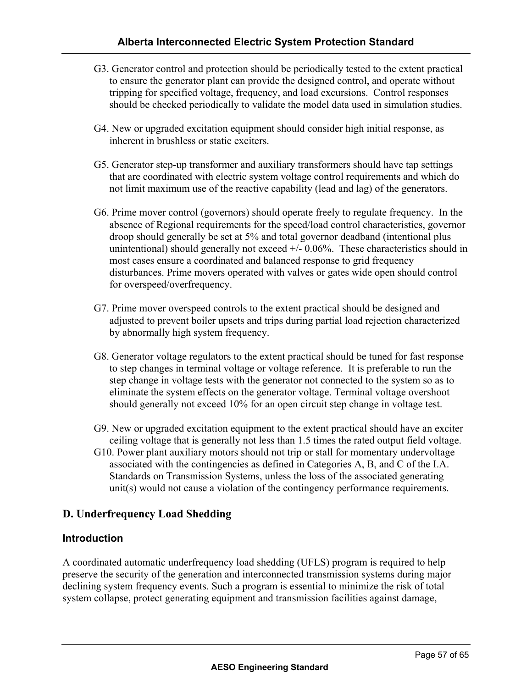- G3. Generator control and protection should be periodically tested to the extent practical to ensure the generator plant can provide the designed control, and operate without tripping for specified voltage, frequency, and load excursions. Control responses should be checked periodically to validate the model data used in simulation studies.
- G4. New or upgraded excitation equipment should consider high initial response, as inherent in brushless or static exciters.
- G5. Generator step-up transformer and auxiliary transformers should have tap settings that are coordinated with electric system voltage control requirements and which do not limit maximum use of the reactive capability (lead and lag) of the generators.
- G6. Prime mover control (governors) should operate freely to regulate frequency. In the absence of Regional requirements for the speed/load control characteristics, governor droop should generally be set at 5% and total governor deadband (intentional plus unintentional) should generally not exceed  $+/- 0.06\%$ . These characteristics should in most cases ensure a coordinated and balanced response to grid frequency disturbances. Prime movers operated with valves or gates wide open should control for overspeed/overfrequency.
- G7. Prime mover overspeed controls to the extent practical should be designed and adjusted to prevent boiler upsets and trips during partial load rejection characterized by abnormally high system frequency.
- G8. Generator voltage regulators to the extent practical should be tuned for fast response to step changes in terminal voltage or voltage reference. It is preferable to run the step change in voltage tests with the generator not connected to the system so as to eliminate the system effects on the generator voltage. Terminal voltage overshoot should generally not exceed 10% for an open circuit step change in voltage test.
- G9. New or upgraded excitation equipment to the extent practical should have an exciter ceiling voltage that is generally not less than 1.5 times the rated output field voltage. G10. Power plant auxiliary motors should not trip or stall for momentary undervoltage
- associated with the contingencies as defined in Categories A, B, and C of the I.A. Standards on Transmission Systems, unless the loss of the associated generating unit(s) would not cause a violation of the contingency performance requirements.

# **D. Underfrequency Load Shedding**

#### **Introduction**

A coordinated automatic underfrequency load shedding (UFLS) program is required to help preserve the security of the generation and interconnected transmission systems during major declining system frequency events. Such a program is essential to minimize the risk of total system collapse, protect generating equipment and transmission facilities against damage,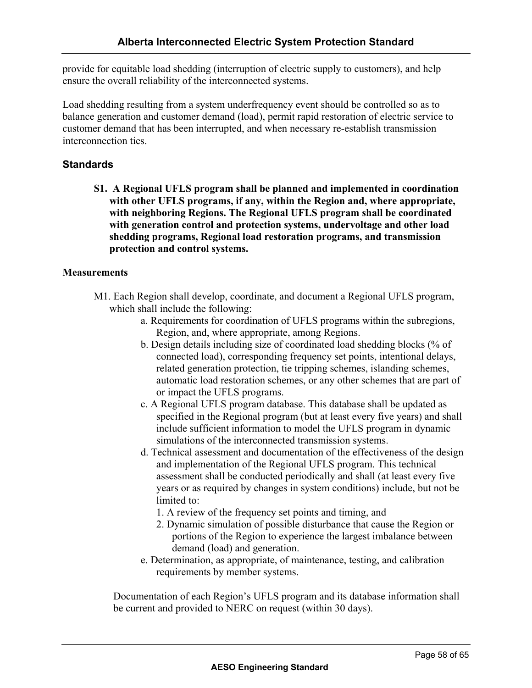provide for equitable load shedding (interruption of electric supply to customers), and help ensure the overall reliability of the interconnected systems.

Load shedding resulting from a system underfrequency event should be controlled so as to balance generation and customer demand (load), permit rapid restoration of electric service to customer demand that has been interrupted, and when necessary re-establish transmission interconnection ties.

## **Standards**

**S1. A Regional UFLS program shall be planned and implemented in coordination with other UFLS programs, if any, within the Region and, where appropriate, with neighboring Regions. The Regional UFLS program shall be coordinated with generation control and protection systems, undervoltage and other load shedding programs, Regional load restoration programs, and transmission protection and control systems.** 

#### **Measurements**

- M1. Each Region shall develop, coordinate, and document a Regional UFLS program, which shall include the following:
	- a. Requirements for coordination of UFLS programs within the subregions, Region, and, where appropriate, among Regions.
	- b. Design details including size of coordinated load shedding blocks (% of connected load), corresponding frequency set points, intentional delays, related generation protection, tie tripping schemes, islanding schemes, automatic load restoration schemes, or any other schemes that are part of or impact the UFLS programs.
	- c. A Regional UFLS program database. This database shall be updated as specified in the Regional program (but at least every five years) and shall include sufficient information to model the UFLS program in dynamic simulations of the interconnected transmission systems.
	- d. Technical assessment and documentation of the effectiveness of the design and implementation of the Regional UFLS program. This technical assessment shall be conducted periodically and shall (at least every five years or as required by changes in system conditions) include, but not be limited to:
		- 1. A review of the frequency set points and timing, and
		- 2. Dynamic simulation of possible disturbance that cause the Region or portions of the Region to experience the largest imbalance between demand (load) and generation.
	- e. Determination, as appropriate, of maintenance, testing, and calibration requirements by member systems.

Documentation of each Region's UFLS program and its database information shall be current and provided to NERC on request (within 30 days).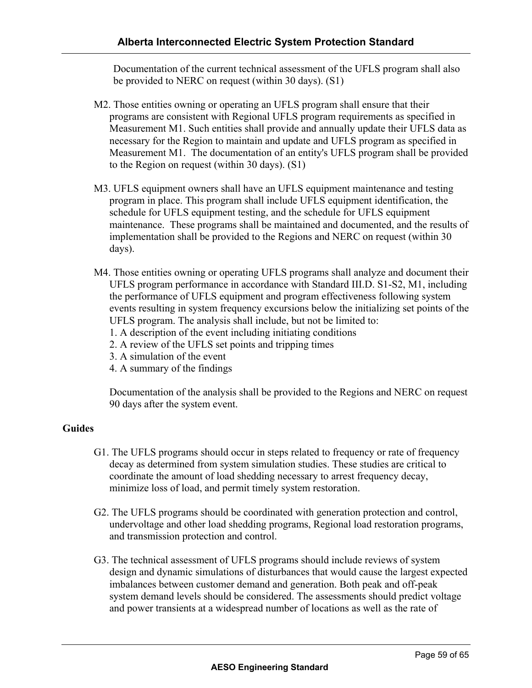Documentation of the current technical assessment of the UFLS program shall also be provided to NERC on request (within 30 days). (S1)

- M2. Those entities owning or operating an UFLS program shall ensure that their programs are consistent with Regional UFLS program requirements as specified in Measurement M1. Such entities shall provide and annually update their UFLS data as necessary for the Region to maintain and update and UFLS program as specified in Measurement M1. The documentation of an entity's UFLS program shall be provided to the Region on request (within 30 days). (S1)
- M3. UFLS equipment owners shall have an UFLS equipment maintenance and testing program in place. This program shall include UFLS equipment identification, the schedule for UFLS equipment testing, and the schedule for UFLS equipment maintenance. These programs shall be maintained and documented, and the results of implementation shall be provided to the Regions and NERC on request (within 30 days).
- M4. Those entities owning or operating UFLS programs shall analyze and document their UFLS program performance in accordance with Standard III.D. S1-S2, M1, including the performance of UFLS equipment and program effectiveness following system events resulting in system frequency excursions below the initializing set points of the UFLS program. The analysis shall include, but not be limited to:
	- 1. A description of the event including initiating conditions
	- 2. A review of the UFLS set points and tripping times
	- 3. A simulation of the event
	- 4. A summary of the findings

Documentation of the analysis shall be provided to the Regions and NERC on request 90 days after the system event.

#### **Guides**

- G1. The UFLS programs should occur in steps related to frequency or rate of frequency decay as determined from system simulation studies. These studies are critical to coordinate the amount of load shedding necessary to arrest frequency decay, minimize loss of load, and permit timely system restoration.
- G2. The UFLS programs should be coordinated with generation protection and control, undervoltage and other load shedding programs, Regional load restoration programs, and transmission protection and control.
- G3. The technical assessment of UFLS programs should include reviews of system design and dynamic simulations of disturbances that would cause the largest expected imbalances between customer demand and generation. Both peak and off-peak system demand levels should be considered. The assessments should predict voltage and power transients at a widespread number of locations as well as the rate of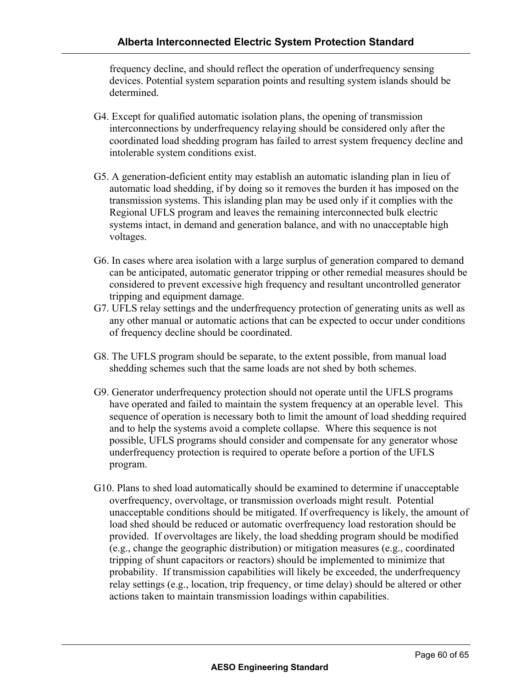frequency decline, and should reflect the operation of underfrequency sensing devices. Potential system separation points and resulting system islands should be determined.

- G4. Except for qualified automatic isolation plans, the opening of transmission interconnections by underfrequency relaying should be considered only after the coordinated load shedding program has failed to arrest system frequency decline and intolerable system conditions exist.
- G5. A generation-deficient entity may establish an automatic islanding plan in lieu of automatic load shedding, if by doing so it removes the burden it has imposed on the transmission systems. This islanding plan may be used only if it complies with the Regional UFLS program and leaves the remaining interconnected bulk electric systems intact, in demand and generation balance, and with no unacceptable high voltages.
- G6. In cases where area isolation with a large surplus of generation compared to demand can be anticipated, automatic generator tripping or other remedial measures should be considered to prevent excessive high frequency and resultant uncontrolled generator tripping and equipment damage.
- G7. UFLS relay settings and the underfrequency protection of generating units as well as any other manual or automatic actions that can be expected to occur under conditions of frequency decline should be coordinated.
- G8. The UFLS program should be separate, to the extent possible, from manual load shedding schemes such that the same loads are not shed by both schemes.
- G9. Generator underfrequency protection should not operate until the UFLS programs have operated and failed to maintain the system frequency at an operable level. This sequence of operation is necessary both to limit the amount of load shedding required and to help the systems avoid a complete collapse. Where this sequence is not possible, UFLS programs should consider and compensate for any generator whose underfrequency protection is required to operate before a portion of the UFLS program.
- G10. Plans to shed load automatically should be examined to determine if unacceptable overfrequency, overvoltage, or transmission overloads might result. Potential unacceptable conditions should be mitigated. If overfrequency is likely, the amount of load shed should be reduced or automatic overfrequency load restoration should be provided. If overvoltages are likely, the load shedding program should be modified (e.g., change the geographic distribution) or mitigation measures (e.g., coordinated tripping of shunt capacitors or reactors) should be implemented to minimize that probability. If transmission capabilities will likely be exceeded, the underfrequency relay settings (e.g., location, trip frequency, or time delay) should be altered or other actions taken to maintain transmission loadings within capabilities.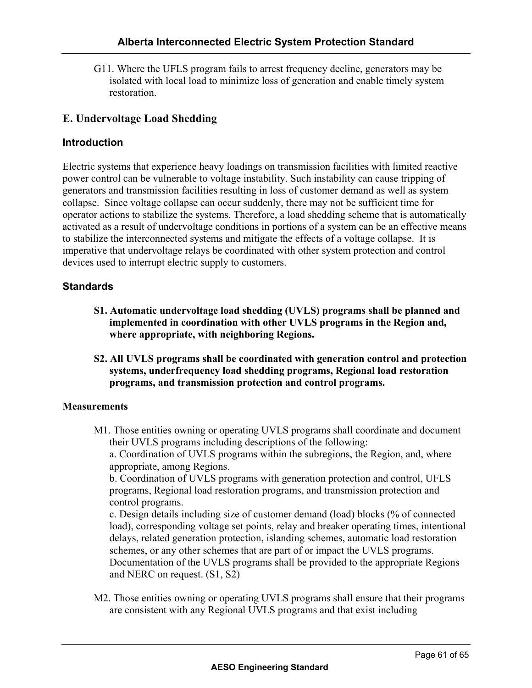G11. Where the UFLS program fails to arrest frequency decline, generators may be isolated with local load to minimize loss of generation and enable timely system restoration.

# **E. Undervoltage Load Shedding**

# **Introduction**

Electric systems that experience heavy loadings on transmission facilities with limited reactive power control can be vulnerable to voltage instability. Such instability can cause tripping of generators and transmission facilities resulting in loss of customer demand as well as system collapse. Since voltage collapse can occur suddenly, there may not be sufficient time for operator actions to stabilize the systems. Therefore, a load shedding scheme that is automatically activated as a result of undervoltage conditions in portions of a system can be an effective means to stabilize the interconnected systems and mitigate the effects of a voltage collapse. It is imperative that undervoltage relays be coordinated with other system protection and control devices used to interrupt electric supply to customers.

# **Standards**

- **S1. Automatic undervoltage load shedding (UVLS) programs shall be planned and implemented in coordination with other UVLS programs in the Region and, where appropriate, with neighboring Regions.**
- **S2. All UVLS programs shall be coordinated with generation control and protection systems, underfrequency load shedding programs, Regional load restoration programs, and transmission protection and control programs.**

# **Measurements**

M1. Those entities owning or operating UVLS programs shall coordinate and document their UVLS programs including descriptions of the following:

a. Coordination of UVLS programs within the subregions, the Region, and, where appropriate, among Regions.

b. Coordination of UVLS programs with generation protection and control, UFLS programs, Regional load restoration programs, and transmission protection and control programs.

c. Design details including size of customer demand (load) blocks (% of connected load), corresponding voltage set points, relay and breaker operating times, intentional delays, related generation protection, islanding schemes, automatic load restoration schemes, or any other schemes that are part of or impact the UVLS programs. Documentation of the UVLS programs shall be provided to the appropriate Regions and NERC on request. (S1, S2)

M2. Those entities owning or operating UVLS programs shall ensure that their programs are consistent with any Regional UVLS programs and that exist including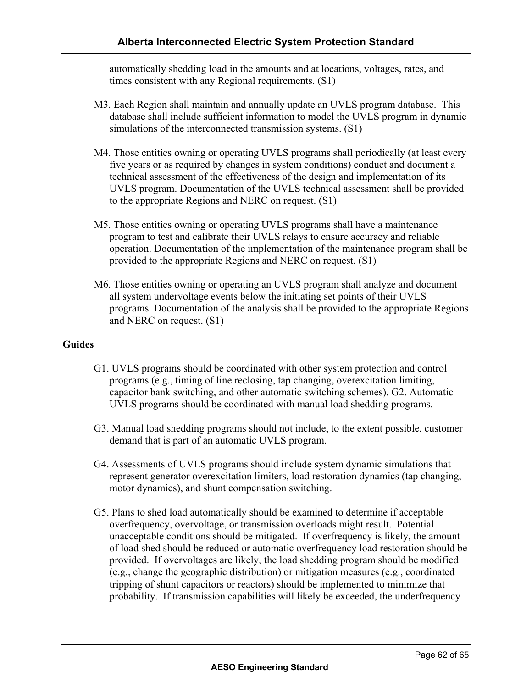automatically shedding load in the amounts and at locations, voltages, rates, and times consistent with any Regional requirements. (S1)

- M3. Each Region shall maintain and annually update an UVLS program database. This database shall include sufficient information to model the UVLS program in dynamic simulations of the interconnected transmission systems. (S1)
- M4. Those entities owning or operating UVLS programs shall periodically (at least every five years or as required by changes in system conditions) conduct and document a technical assessment of the effectiveness of the design and implementation of its UVLS program. Documentation of the UVLS technical assessment shall be provided to the appropriate Regions and NERC on request. (S1)
- M5. Those entities owning or operating UVLS programs shall have a maintenance program to test and calibrate their UVLS relays to ensure accuracy and reliable operation. Documentation of the implementation of the maintenance program shall be provided to the appropriate Regions and NERC on request. (S1)
- M6. Those entities owning or operating an UVLS program shall analyze and document all system undervoltage events below the initiating set points of their UVLS programs. Documentation of the analysis shall be provided to the appropriate Regions and NERC on request. (S1)

#### **Guides**

- G1. UVLS programs should be coordinated with other system protection and control programs (e.g., timing of line reclosing, tap changing, overexcitation limiting, capacitor bank switching, and other automatic switching schemes). G2. Automatic UVLS programs should be coordinated with manual load shedding programs.
- G3. Manual load shedding programs should not include, to the extent possible, customer demand that is part of an automatic UVLS program.
- G4. Assessments of UVLS programs should include system dynamic simulations that represent generator overexcitation limiters, load restoration dynamics (tap changing, motor dynamics), and shunt compensation switching.
- G5. Plans to shed load automatically should be examined to determine if acceptable overfrequency, overvoltage, or transmission overloads might result. Potential unacceptable conditions should be mitigated. If overfrequency is likely, the amount of load shed should be reduced or automatic overfrequency load restoration should be provided. If overvoltages are likely, the load shedding program should be modified (e.g., change the geographic distribution) or mitigation measures (e.g., coordinated tripping of shunt capacitors or reactors) should be implemented to minimize that probability. If transmission capabilities will likely be exceeded, the underfrequency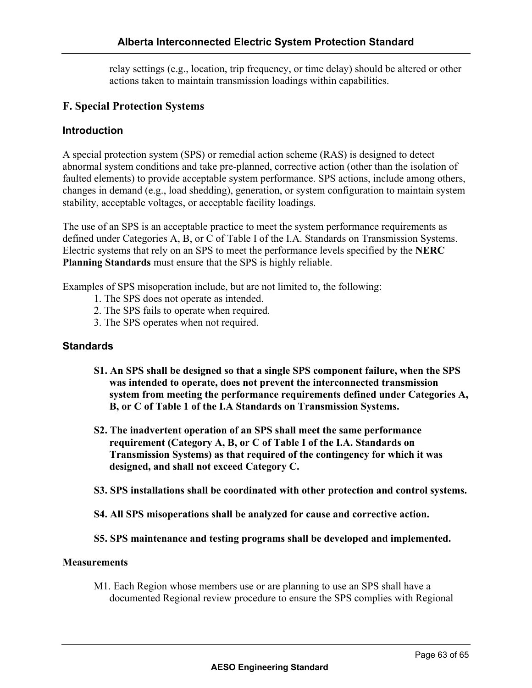relay settings (e.g., location, trip frequency, or time delay) should be altered or other actions taken to maintain transmission loadings within capabilities.

## **F. Special Protection Systems**

#### **Introduction**

A special protection system (SPS) or remedial action scheme (RAS) is designed to detect abnormal system conditions and take pre-planned, corrective action (other than the isolation of faulted elements) to provide acceptable system performance. SPS actions, include among others, changes in demand (e.g., load shedding), generation, or system configuration to maintain system stability, acceptable voltages, or acceptable facility loadings.

The use of an SPS is an acceptable practice to meet the system performance requirements as defined under Categories A, B, or C of Table I of the I.A. Standards on Transmission Systems. Electric systems that rely on an SPS to meet the performance levels specified by the **NERC Planning Standards** must ensure that the SPS is highly reliable.

Examples of SPS misoperation include, but are not limited to, the following:

- 1. The SPS does not operate as intended.
- 2. The SPS fails to operate when required.
- 3. The SPS operates when not required.

#### **Standards**

- **S1. An SPS shall be designed so that a single SPS component failure, when the SPS was intended to operate, does not prevent the interconnected transmission system from meeting the performance requirements defined under Categories A, B, or C of Table 1 of the I.A Standards on Transmission Systems.**
- **S2. The inadvertent operation of an SPS shall meet the same performance requirement (Category A, B, or C of Table I of the I.A. Standards on Transmission Systems) as that required of the contingency for which it was designed, and shall not exceed Category C.**
- **S3. SPS installations shall be coordinated with other protection and control systems.**
- **S4. All SPS misoperations shall be analyzed for cause and corrective action.**

#### **S5. SPS maintenance and testing programs shall be developed and implemented.**

#### **Measurements**

M1. Each Region whose members use or are planning to use an SPS shall have a documented Regional review procedure to ensure the SPS complies with Regional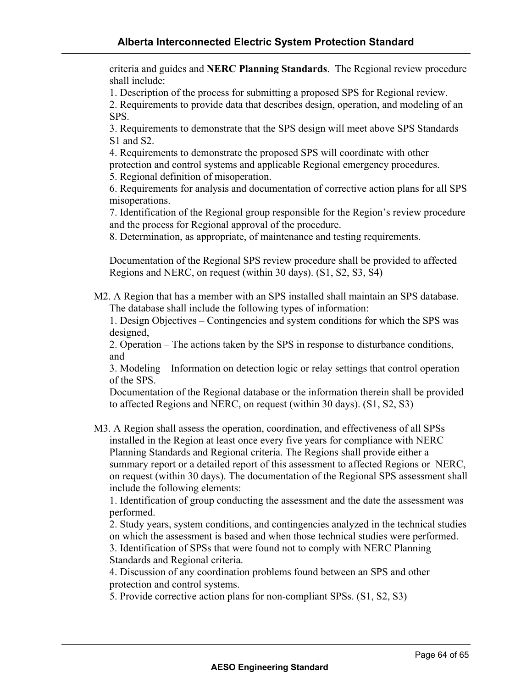criteria and guides and **NERC Planning Standards**. The Regional review procedure shall include:

1. Description of the process for submitting a proposed SPS for Regional review.

2. Requirements to provide data that describes design, operation, and modeling of an SPS.

3. Requirements to demonstrate that the SPS design will meet above SPS Standards S<sub>1</sub> and S<sub>2</sub>.

4. Requirements to demonstrate the proposed SPS will coordinate with other protection and control systems and applicable Regional emergency procedures.

5. Regional definition of misoperation.

6. Requirements for analysis and documentation of corrective action plans for all SPS misoperations.

7. Identification of the Regional group responsible for the Region's review procedure and the process for Regional approval of the procedure.

8. Determination, as appropriate, of maintenance and testing requirements.

Documentation of the Regional SPS review procedure shall be provided to affected Regions and NERC, on request (within 30 days). (S1, S2, S3, S4)

M2. A Region that has a member with an SPS installed shall maintain an SPS database. The database shall include the following types of information:

1. Design Objectives – Contingencies and system conditions for which the SPS was designed,

2. Operation – The actions taken by the SPS in response to disturbance conditions, and

3. Modeling – Information on detection logic or relay settings that control operation of the SPS.

Documentation of the Regional database or the information therein shall be provided to affected Regions and NERC, on request (within 30 days). (S1, S2, S3)

M3. A Region shall assess the operation, coordination, and effectiveness of all SPSs installed in the Region at least once every five years for compliance with NERC Planning Standards and Regional criteria. The Regions shall provide either a summary report or a detailed report of this assessment to affected Regions or NERC, on request (within 30 days). The documentation of the Regional SPS assessment shall include the following elements:

1. Identification of group conducting the assessment and the date the assessment was performed.

2. Study years, system conditions, and contingencies analyzed in the technical studies on which the assessment is based and when those technical studies were performed.

3. Identification of SPSs that were found not to comply with NERC Planning Standards and Regional criteria.

4. Discussion of any coordination problems found between an SPS and other protection and control systems.

5. Provide corrective action plans for non-compliant SPSs. (S1, S2, S3)